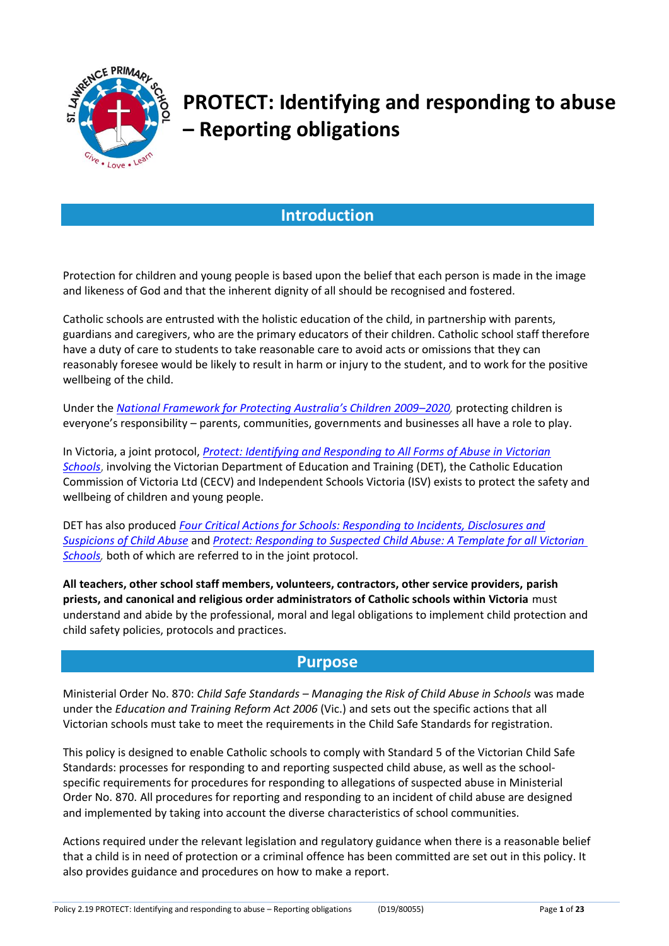

# **PROTECT: Identifying and responding to abuse – Reporting obligations**

# **Introduction**

Protection for children and young people is based upon the belief that each person is made in the image and likeness of God and that the inherent dignity of all should be recognised and fostered.

Catholic schools are entrusted with the holistic education of the child, in partnership with parents, guardians and caregivers, who are the primary educators of their children. Catholic school staff therefore have a duty of care to students to take reasonable care to avoid acts or omissions that they can reasonably foresee would be likely to result in harm or injury to the student, and to work for the positive wellbeing of the child.

Under the *Nation[al Framework for Protecting Australia's Children 2009–](https://www.dss.gov.au/our-responsibilities/families-and-children/publications-articles/protecting-children-is-everyones-business)2020,* protecting children is everyone's responsibility – parents, communities, governments and businesses all have a role to play.

In Victoria, a joint protocol, *[Protect: Identifying and Responding to All Forms of Abuse in Victorian](http://www.education.vic.gov.au/Documents/about/programs/health/protect/ChildSafeStandard5_SchoolsGuide.pdf) [Schools](http://www.education.vic.gov.au/Documents/about/programs/health/protect/ChildSafeStandard5_SchoolsGuide.pdf)*, involving the Victorian Department of Education and Training (DET), the Catholic Education Commission of Victoria Ltd (CECV) and Independent Schools Victoria (ISV) exists to protect the safety and wellbeing of children and young people.

DET has also produced *[Four Critical Actions for Schools: Responding to Incidents, Disclosures and](http://www.education.vic.gov.au/Documents/about/programs/health/protect/FourCriticalActions_ChildAbuse.pdf) [Suspicions of Child Abuse](http://www.education.vic.gov.au/Documents/about/programs/health/protect/FourCriticalActions_ChildAbuse.pdf)* and *[Protect: Responding to Suspected Child Abuse: A Template for all Victorian](http://www.education.vic.gov.au/Documents/about/programs/health/protect/PROTECT_Responding_TemplateSchools.pdf)  Schools*, both of which are referred to in the joint protocol.

**All teachers, other school staff members, volunteers, contractors, other service providers, parish priests, and canonical and religious order administrators of Catholic schools within Victoria** must understand and abide by the professional, moral and legal obligations to implement child protection and child safety policies, protocols and practices.

## **Purpose**

Ministerial Order No. 870: *Child Safe Standards – Managing the Risk of Child Abuse in Schools* was made under the *Education and Training Reform Act 2006* (Vic.) and sets out the specific actions that all Victorian schools must take to meet the requirements in the Child Safe Standards for registration.

This policy is designed to enable Catholic schools to comply with Standard 5 of the Victorian Child Safe Standards: processes for responding to and reporting suspected child abuse, as well as the schoolspecific requirements for procedures for responding to allegations of suspected abuse in Ministerial Order No. 870. All procedures for reporting and responding to an incident of child abuse are designed and implemented by taking into account the diverse characteristics of school communities.

Actions required under the relevant legislation and regulatory guidance when there is a reasonable belief that a child is in need of protection or a criminal offence has been committed are set out in this policy. It also provides guidance and procedures on how to make a report.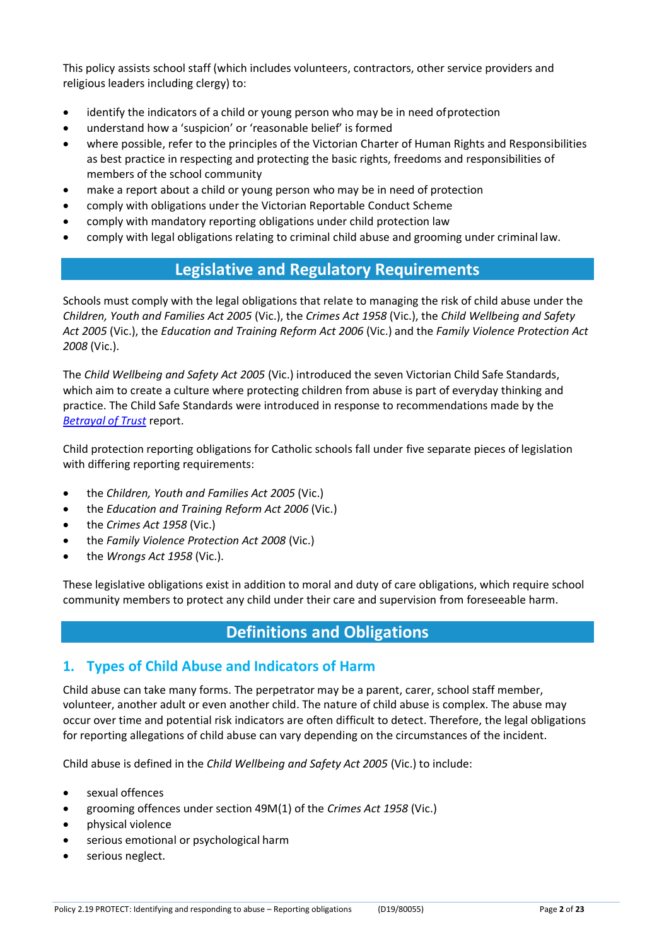This policy assists school staff (which includes volunteers, contractors, other service providers and religious leaders including clergy) to:

- identify the indicators of a child or young person who may be in need ofprotection
- understand how a 'suspicion' or 'reasonable belief' is formed
- where possible, refer to the principles of the Victorian Charter of Human Rights and Responsibilities as best practice in respecting and protecting the basic rights, freedoms and responsibilities of members of the school community
- make a report about a child or young person who may be in need of protection
- comply with obligations under the Victorian Reportable Conduct Scheme
- comply with mandatory reporting obligations under child protection law
- comply with legal obligations relating to criminal child abuse and grooming under criminal law.

# **Legislative and Regulatory Requirements**

Schools must comply with the legal obligations that relate to managing the risk of child abuse under the *Children, Youth and Families Act 2005* (Vic.), the *Crimes Act 1958* (Vic.), the *Child Wellbeing and Safety Act 2005* (Vic.), the *Education and Training Reform Act 2006* (Vic.) and the *Family Violence Protection Act 2008* (Vic.).

The *Child Wellbeing and Safety Act 2005* (Vic.) introduced the seven Victorian Child Safe Standards, which aim to create a culture where protecting children from abuse is part of everyday thinking and practice. The Child Safe Standards were introduced in response to recommendations made by the *[Betrayal of Trust](http://www.parliament.vic.gov.au/file_uploads/Inquiry_into_Handling_of_Abuse_Volume_2_FINAL_web_y78t3Wpb.pdf)* report.

Child protection reporting obligations for Catholic schools fall under five separate pieces of legislation with differing reporting requirements:

- the *Children, Youth and Families Act 2005* (Vic.)
- the *Education and Training Reform Act 2006* (Vic.)
- the *Crimes Act 1958* (Vic.)
- the *Family Violence Protection Act 2008* (Vic.)
- the *Wrongs Act 1958* (Vic.).

These legislative obligations exist in addition to moral and duty of care obligations, which require school community members to protect any child under their care and supervision from foreseeable harm.

# **Definitions and Obligations**

## **1. Types of Child Abuse and Indicators of Harm**

Child abuse can take many forms. The perpetrator may be a parent, carer, school staff member, volunteer, another adult or even another child. The nature of child abuse is complex. The abuse may occur over time and potential risk indicators are often difficult to detect. Therefore, the legal obligations for reporting allegations of child abuse can vary depending on the circumstances of the incident.

Child abuse is defined in the *Child Wellbeing and Safety Act 2005* (Vic.) to include:

- sexual offences
- grooming offences under section 49M(1) of the *Crimes Act 1958* (Vic.)
- physical violence
- serious emotional or psychological harm
- serious neglect.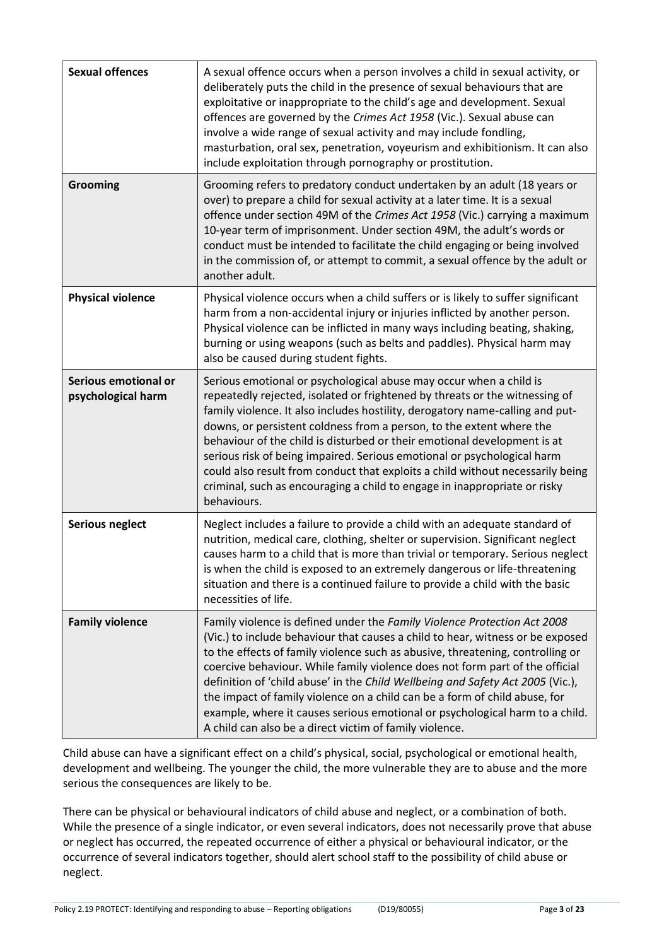| <b>Sexual offences</b>                     | A sexual offence occurs when a person involves a child in sexual activity, or<br>deliberately puts the child in the presence of sexual behaviours that are<br>exploitative or inappropriate to the child's age and development. Sexual<br>offences are governed by the Crimes Act 1958 (Vic.). Sexual abuse can<br>involve a wide range of sexual activity and may include fondling,<br>masturbation, oral sex, penetration, voyeurism and exhibitionism. It can also<br>include exploitation through pornography or prostitution.                                                                                                              |
|--------------------------------------------|-------------------------------------------------------------------------------------------------------------------------------------------------------------------------------------------------------------------------------------------------------------------------------------------------------------------------------------------------------------------------------------------------------------------------------------------------------------------------------------------------------------------------------------------------------------------------------------------------------------------------------------------------|
| <b>Grooming</b>                            | Grooming refers to predatory conduct undertaken by an adult (18 years or<br>over) to prepare a child for sexual activity at a later time. It is a sexual<br>offence under section 49M of the Crimes Act 1958 (Vic.) carrying a maximum<br>10-year term of imprisonment. Under section 49M, the adult's words or<br>conduct must be intended to facilitate the child engaging or being involved<br>in the commission of, or attempt to commit, a sexual offence by the adult or<br>another adult.                                                                                                                                                |
| <b>Physical violence</b>                   | Physical violence occurs when a child suffers or is likely to suffer significant<br>harm from a non-accidental injury or injuries inflicted by another person.<br>Physical violence can be inflicted in many ways including beating, shaking,<br>burning or using weapons (such as belts and paddles). Physical harm may<br>also be caused during student fights.                                                                                                                                                                                                                                                                               |
| Serious emotional or<br>psychological harm | Serious emotional or psychological abuse may occur when a child is<br>repeatedly rejected, isolated or frightened by threats or the witnessing of<br>family violence. It also includes hostility, derogatory name-calling and put-<br>downs, or persistent coldness from a person, to the extent where the<br>behaviour of the child is disturbed or their emotional development is at<br>serious risk of being impaired. Serious emotional or psychological harm<br>could also result from conduct that exploits a child without necessarily being<br>criminal, such as encouraging a child to engage in inappropriate or risky<br>behaviours. |
| <b>Serious neglect</b>                     | Neglect includes a failure to provide a child with an adequate standard of<br>nutrition, medical care, clothing, shelter or supervision. Significant neglect<br>causes harm to a child that is more than trivial or temporary. Serious neglect<br>is when the child is exposed to an extremely dangerous or life-threatening<br>situation and there is a continued failure to provide a child with the basic<br>necessities of life.                                                                                                                                                                                                            |
| <b>Family violence</b>                     | Family violence is defined under the Family Violence Protection Act 2008<br>(Vic.) to include behaviour that causes a child to hear, witness or be exposed<br>to the effects of family violence such as abusive, threatening, controlling or<br>coercive behaviour. While family violence does not form part of the official<br>definition of 'child abuse' in the Child Wellbeing and Safety Act 2005 (Vic.),<br>the impact of family violence on a child can be a form of child abuse, for<br>example, where it causes serious emotional or psychological harm to a child.<br>A child can also be a direct victim of family violence.         |

Child abuse can have a significant effect on a child's physical, social, psychological or emotional health, development and wellbeing. The younger the child, the more vulnerable they are to abuse and the more serious the consequences are likely to be.

There can be physical or behavioural indicators of child abuse and neglect, or a combination of both. While the presence of a single indicator, or even several indicators, does not necessarily prove that abuse or neglect has occurred, the repeated occurrence of either a physical or behavioural indicator, or the occurrence of several indicators together, should alert school staff to the possibility of child abuse or neglect.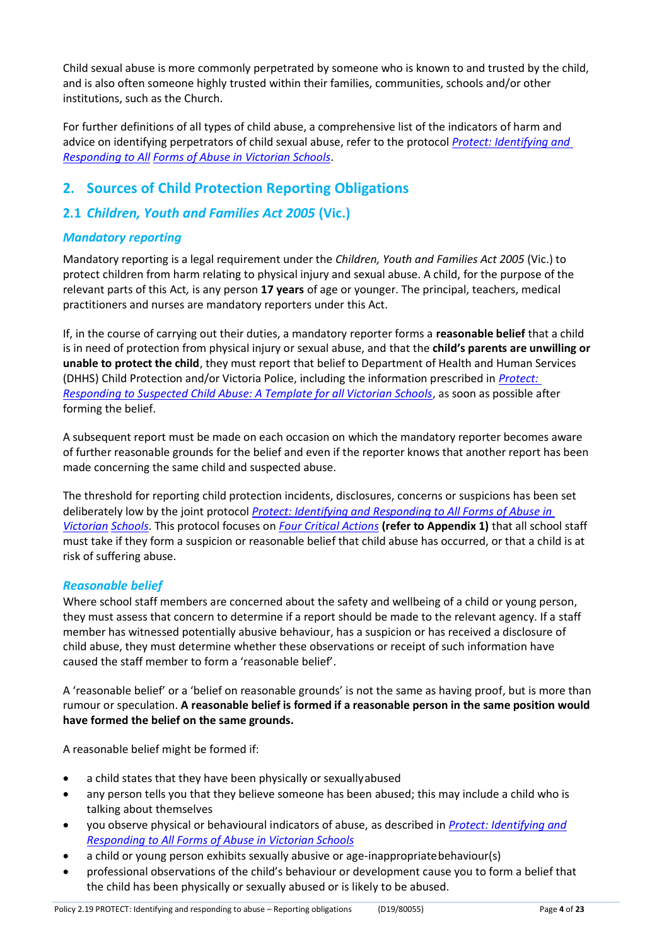Child sexual abuse is more commonly perpetrated by someone who is known to and trusted by the child, and is also often someone highly trusted within their families, communities, schools and/or other institutions, such as the Church.

For further definitions of all types of child abuse, a comprehensive list of the indicators of harm and advice on identifying perpetrators of child sexual abuse, refer to the protocol *[Protect: Identifying and](http://www.education.vic.gov.au/Documents/about/programs/health/protect/ChildSafeStandard5_SchoolsGuide.pdf)  [Responding to All](http://www.education.vic.gov.au/Documents/about/programs/health/protect/ChildSafeStandard5_SchoolsGuide.pdf) [Forms of Abuse in Victorian Schools](http://www.education.vic.gov.au/Documents/about/programs/health/protect/ChildSafeStandard5_SchoolsGuide.pdf)*.

# **2. Sources of Child Protection Reporting Obligations**

# **2.1** *Children, Youth and Families Act 2005* **(Vic.)**

## *Mandatory reporting*

Mandatory reporting is a legal requirement under the *Children, Youth and Families Act 2005* (Vic.) to protect children from harm relating to physical injury and sexual abuse. A child, for the purpose of the relevant parts of this Act*,* is any person **17 years** of age or younger. The principal, teachers, medical practitioners and nurses are mandatory reporters under this Act.

If, in the course of carrying out their duties, a mandatory reporter forms a **reasonable belief** that a child is in need of protection from physical injury or sexual abuse, and that the **child's parents are unwilling or unable to protect the child**, they must report that belief to Department of Health and Human Services (DHHS) Child Protection and/or Victoria Police, including the information prescribed in *[Protect:](http://www.education.vic.gov.au/Documents/about/programs/health/protect/PROTECT_Responding_TemplateSchools.pdf)  [Responding to Suspected Child Abuse: A Template for all Victorian Schools](http://www.education.vic.gov.au/Documents/about/programs/health/protect/PROTECT_Responding_TemplateSchools.pdf)*, as soon as possible after forming the belief.

A subsequent report must be made on each occasion on which the mandatory reporter becomes aware of further reasonable grounds for the belief and even if the reporter knows that another report has been made concerning the same child and suspected abuse.

The threshold for reporting child protection incidents, disclosures, concerns or suspicions has been set deliberately low by the joint protocol *[Protect: Identifying and Responding to All Forms of Abuse in](http://www.education.vic.gov.au/Documents/about/programs/health/protect/ChildSafeStandard5_SchoolsGuide.pdf)  [Victorian](http://www.education.vic.gov.au/Documents/about/programs/health/protect/ChildSafeStandard5_SchoolsGuide.pdf) [Schools](http://www.education.vic.gov.au/Documents/about/programs/health/protect/ChildSafeStandard5_SchoolsGuide.pdf)*. This protocol focuses on *[Four Critical Actions](http://www.education.vic.gov.au/Documents/about/programs/health/protect/FourCriticalActions_ChildAbuse.pdf)* **(refer to Appendix 1)** that all school staff must take if they form a suspicion or reasonable belief that child abuse has occurred, or that a child is at risk of suffering abuse.

#### <span id="page-3-0"></span>*Reasonable belief*

Where school staff members are concerned about the safety and wellbeing of a child or young person, they must assess that concern to determine if a report should be made to the relevant agency. If a staff member has witnessed potentially abusive behaviour, has a suspicion or has received a disclosure of child abuse, they must determine whether these observations or receipt of such information have caused the staff member to form a 'reasonable belief'.

A 'reasonable belief' or a 'belief on reasonable grounds' is not the same as having proof, but is more than rumour or speculation. **A reasonable belief is formed if a reasonable person in the same position would have formed the belief on the same grounds.**

A reasonable belief might be formed if:

- a child states that they have been physically or sexuallyabused
- any person tells you that they believe someone has been abused; this may include a child who is talking about themselves
- you observe physical or behavioural indicators of abuse, as described in *[Protect: Identifying and](http://www.education.vic.gov.au/Documents/about/programs/health/protect/ChildSafeStandard5_SchoolsGuide.pdf) [Responding to All Forms of Abuse in Victorian](http://www.education.vic.gov.au/Documents/about/programs/health/protect/ChildSafeStandard5_SchoolsGuide.pdf) Schools*
- a child or young person exhibits sexually abusive or age-inappropriatebehaviour(s)
- professional observations of the child's behaviour or development cause you to form a belief that the child has been physically or sexually abused or is likely to be abused.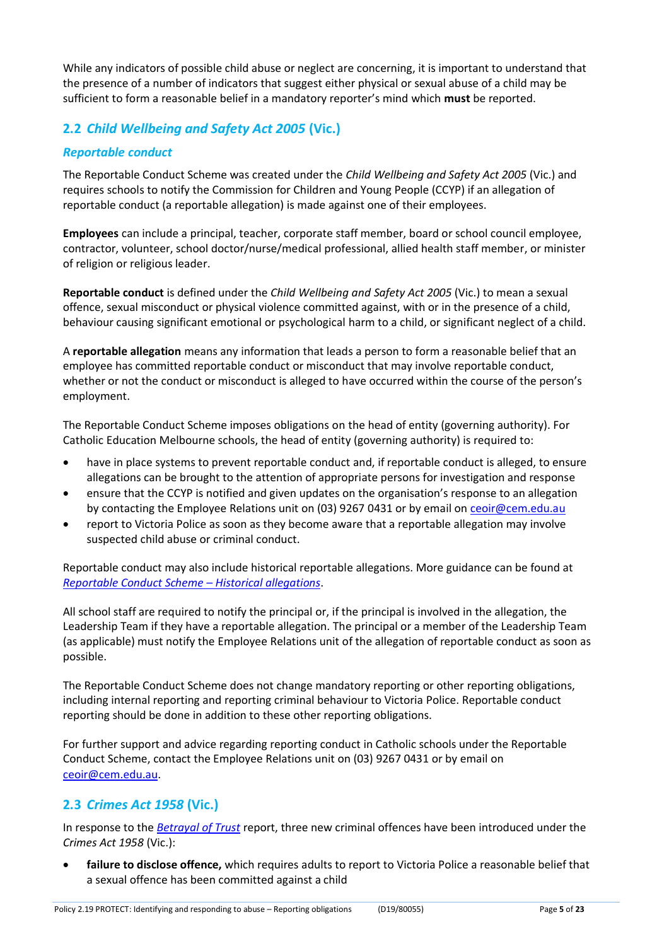While any indicators of possible child abuse or neglect are concerning, it is important to understand that the presence of a number of indicators that suggest either physical or sexual abuse of a child may be sufficient to form a reasonable belief in a mandatory reporter's mind which **must** be reported.

# **2.2** *Child Wellbeing and Safety Act 2005* **(Vic.)**

## *Reportable conduct*

The Reportable Conduct Scheme was created under the *Child Wellbeing and Safety Act 2005* (Vic.) and requires schools to notify the Commission for Children and Young People (CCYP) if an allegation of reportable conduct (a reportable allegation) is made against one of their employees.

**Employees** can include a principal, teacher, corporate staff member, board or school council employee, contractor, volunteer, school doctor/nurse/medical professional, allied health staff member, or minister of religion or religious leader.

**Reportable conduct** is defined under the *Child Wellbeing and Safety Act 2005* (Vic.) to mean a sexual offence, sexual misconduct or physical violence committed against, with or in the presence of a child, behaviour causing significant emotional or psychological harm to a child, or significant neglect of a child.

A **reportable allegation** means any information that leads a person to form a reasonable belief that an employee has committed reportable conduct or misconduct that may involve reportable conduct, whether or not the conduct or misconduct is alleged to have occurred within the course of the person's employment.

The Reportable Conduct Scheme imposes obligations on the head of entity (governing authority). For Catholic Education Melbourne schools, the head of entity (governing authority) is required to:

- have in place systems to prevent reportable conduct and, if reportable conduct is alleged, to ensure allegations can be brought to the attention of appropriate persons for investigation and response
- ensure that the CCYP is notified and given updates on the organisation's response to an allegation by contacting the Employee Relations unit on (03) 9267 0431 or by email o[n ceoir@cem.edu.au](mailto:ceoir@cem.edu.au)
- report to Victoria Police as soon as they become aware that a reportable allegation may involve suspected child abuse or criminal conduct.

Reportable conduct may also include historical reportable allegations. More guidance can be found at *[Reportable Conduct Scheme](https://ccyp.vic.gov.au/assets/resources/RCSInfoSheetUpdates/Historical-Allegations-110718.pdf) – Historical allegations*.

All school staff are required to notify the principal or, if the principal is involved in the allegation, the Leadership Team if they have a reportable allegation. The principal or a member of the Leadership Team (as applicable) must notify the Employee Relations unit of the allegation of reportable conduct as soon as possible.

The Reportable Conduct Scheme does not change mandatory reporting or other reporting obligations, including internal reporting and reporting criminal behaviour to Victoria Police. Reportable conduct reporting should be done in addition to these other reporting obligations.

For further support and advice regarding reporting conduct in Catholic schools under the Reportable Conduct Scheme, contact the Employee Relations unit on (03) 9267 0431 or by email on [ceoir@cem.edu.au.](mailto:ceoir@cem.edu.au)

## **2.3** *Crimes Act 1958* **(Vic.)**

In response to the *[Betrayal of Trust](http://www.parliament.vic.gov.au/file_uploads/Inquiry_into_Handling_of_Abuse_Volume_2_FINAL_web_y78t3Wpb.pdf)* report, three new criminal offences have been introduced under the *Crimes Act 1958* (Vic.):

• **[failure to disclose offence,](http://www.justice.vic.gov.au/home/safer%2Bcommunities/protecting%2Bchildren%2Band%2Bfamilies/failure%2Bto%2Bdisclose%2Boffence)** which requires adults to report to Victoria Police a reasonable belief that a sexual offence has been committed against a child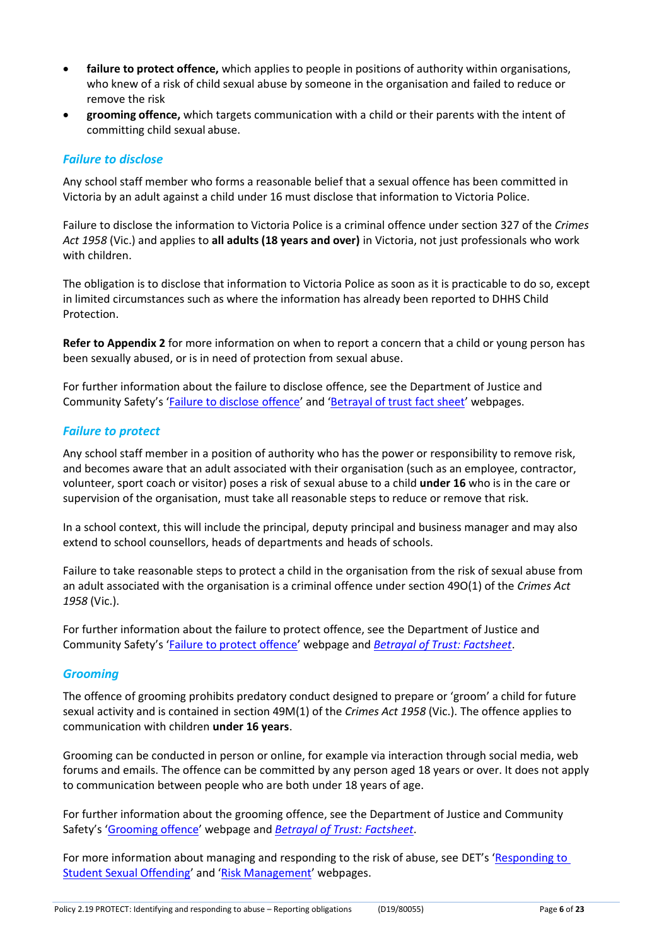- **[failure to protect offence,](http://www.justice.vic.gov.au/home/safer%2Bcommunities/protecting%2Bchildren%2Band%2Bfamilies/failure%2Bto%2Bprotect%2Boffence)** which applies to people in positions of authority within organisations, who knew of a risk of child sexual abuse by someone in the organisation and failed to reduce or remove the risk
- **[grooming offence,](http://www.justice.vic.gov.au/home/safer%2Bcommunities/protecting%2Bchildren%2Band%2Bfamilies/grooming%2Boffence)** which targets communication with a child or their parents with the intent of committing child sexual abuse.

#### <span id="page-5-0"></span>*Failure to disclose*

Any school staff member who forms a reasonable belief that a sexual offence has been committed in Victoria by an adult against a child under 16 must disclose that information to Victoria Police.

Failure to disclose the information to Victoria Police is a criminal offence under section 327 of the *Crimes Act 1958* (Vic.) and applies to **all adults (18 years and over)** in Victoria, not just professionals who work with children.

The obligation is to disclose that information to Victoria Police as soon as it is practicable to do so, except in limited circumstances such as where the information has already been reported to DHHS Child Protection.

**Refer to Appendix 2** for more information on when to report a concern that a child or young person has been sexually abused, or is in need of protection from sexual abuse.

For further information about the failure to disclose offence, see the Department of Justice and Community Safety's '[Failure to disclose offence](https://www.justice.vic.gov.au/safer-communities/protecting-children-and-families/failure-to-disclose-offence)' and '[Betrayal of trust fact](https://www.justice.vic.gov.au/safer-communities/protecting-children-and-families/betrayal-of-trust-fact-sheet-the-new) sheet' webpages.

#### *Failure to protect*

Any school staff member in a position of authority who has the power or responsibility to remove risk, and becomes aware that an adult associated with their organisation (such as an employee, contractor, volunteer, sport coach or visitor) poses a risk of sexual abuse to a child **under 16** who is in the care or supervision of the organisation, must take all reasonable steps to reduce or remove that risk.

In a school context, this will include the principal, deputy principal and business manager and may also extend to school counsellors, heads of departments and heads of schools.

Failure to take reasonable steps to protect a child in the organisation from the risk of sexual abuse from an adult associated with the organisation is a criminal offence under section 49O(1) of the *Crimes Act 1958* (Vic.).

For further information about the failure to protect offence, see the Department of Justice and Community Safety's '[Failure to protect offence](https://www.justice.vic.gov.au/safer-communities/protecting-children-and-families/failure-to-protect-a-new-criminal-offence-to)' webpage and *[Betrayal of Trust: Factsheet](https://www.justice.vic.gov.au/sites/default/files/embridge_cache/emshare/original/public/2018/07/a9/431cfe3d9/failure_to_protect_betrayal_of_trust_factsheet_2017.pdf)*.

#### *Grooming*

The offence of grooming prohibits predatory conduct designed to prepare or 'groom' a child for future sexual activity and is contained in section 49M(1) of the *Crimes Act 1958* (Vic.). The offence applies to communication with children **under 16 years**.

Grooming can be conducted in person or online, for example via interaction through social media, web forums and emails. The offence can be committed by any person aged 18 years or over. It does not apply to communication between people who are both under 18 years of age.

For further information about the grooming offence, see the Department of Justice and Community Safety's '[Grooming offence](https://www.justice.vic.gov.au/safer-communities/protecting-children-and-families/grooming-offence)' webpage and *[Betrayal of Trust:](https://www.justice.vic.gov.au/sites/default/files/embridge_cache/emshare/original/public/2018/07/ea/2bff28cdf/grooming_betrayal_of_trust_factsheet_2017.pdf) Factsheet*.

For more information about managing and responding to the risk of abuse, see DET's '[Responding to](http://www.education.vic.gov.au/school/principals/spag/safety/Pages/sexualassault.aspx)  [Student Sexual Offending](http://www.education.vic.gov.au/school/principals/spag/safety/Pages/sexualassault.aspx)' and '[Risk Management](http://www.education.vic.gov.au/school/principals/spag/governance/Pages/risk.aspx)' webpages.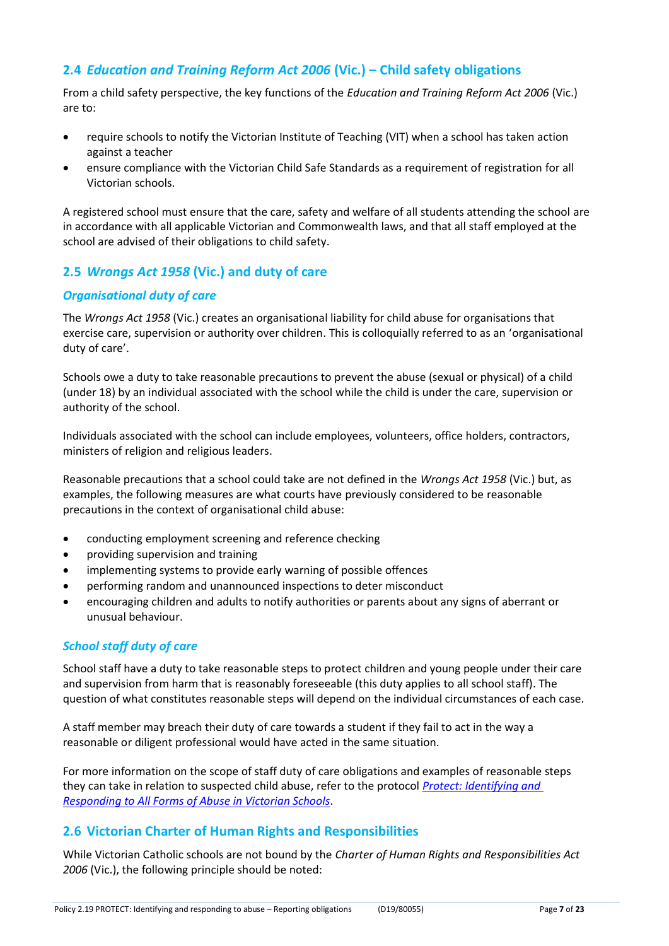## **2.4** *Education and Training Reform Act 2006* **(Vic.) – Child safety obligations**

From a child safety perspective, the key functions of the *Education and Training Reform Act 2006* (Vic.) are to:

- require schools to notify the Victorian Institute of Teaching (VIT) when a school has taken action against a teacher
- ensure compliance with the Victorian Child Safe Standards as a requirement of registration for all Victorian schools.

A registered school must ensure that the care, safety and welfare of all students attending the school are in accordance with all applicable Victorian and Commonwealth laws, and that all staff employed at the school are advised of their obligations to child safety.

## **2.5** *Wrongs Act 1958* **(Vic.) and duty of care**

#### *Organisational duty of care*

The *Wrongs Act 1958* (Vic.) creates an organisational liability for child abuse for organisations that exercise care, supervision or authority over children. This is colloquially referred to as an 'organisational duty of care'.

Schools owe a duty to take reasonable precautions to prevent the abuse (sexual or physical) of a child (under 18) by an individual associated with the school while the child is under the care, supervision or authority of the school.

Individuals associated with the school can include employees, volunteers, office holders, contractors, ministers of religion and religious leaders.

Reasonable precautions that a school could take are not defined in the *Wrongs Act 1958* (Vic.) but, as examples, the following measures are what courts have previously considered to be reasonable precautions in the context of organisational child abuse:

- conducting employment screening and reference checking
- providing supervision and training
- implementing systems to provide early warning of possible offences
- performing random and unannounced inspections to deter misconduct
- encouraging children and adults to notify authorities or parents about any signs of aberrant or unusual behaviour.

#### *School staff duty of care*

School staff have a duty to take reasonable steps to protect children and young people under their care and supervision from harm that is reasonably foreseeable (this duty applies to all school staff). The question of what constitutes reasonable steps will depend on the individual circumstances of each case.

A staff member may breach their duty of care towards a student if they fail to act in the way a reasonable or diligent professional would have acted in the same situation.

For more information on the scope of staff duty of care obligations and examples of reasonable steps they can take in relation to suspected child abuse, refer to the protocol *[Protect: Identifying and](http://www.education.vic.gov.au/Documents/about/programs/health/protect/ChildSafeStandard5_SchoolsGuide.pdf) [Responding to All Forms of Abuse in Victorian](http://www.education.vic.gov.au/Documents/about/programs/health/protect/ChildSafeStandard5_SchoolsGuide.pdf) Schools*.

## **2.6 Victorian Charter of Human Rights and Responsibilities**

While Victorian Catholic schools are not bound by the *Charter of Human Rights and Responsibilities Act 2006* (Vic.), the following principle should be noted: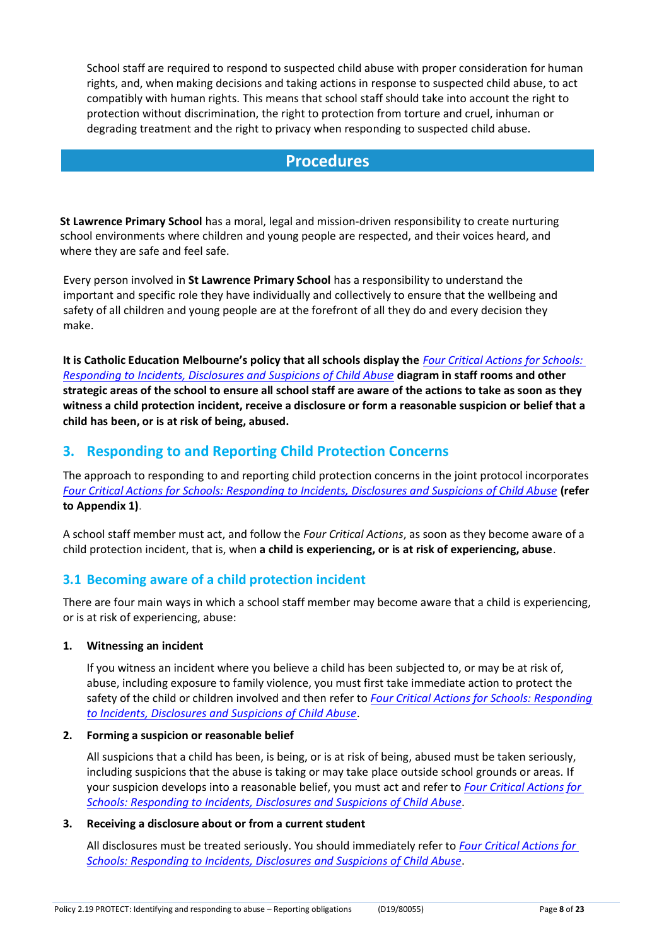School staff are required to respond to suspected child abuse with proper consideration for human rights, and, when making decisions and taking actions in response to suspected child abuse, to act compatibly with human rights. This means that school staff should take into account the right to protection without discrimination, the right to protection from torture and cruel, inhuman or degrading treatment and the right to privacy when responding to suspected child abuse.

## **Procedures**

**St Lawrence Primary School** has a moral, legal and mission-driven responsibility to create nurturing school environments where children and young people are respected, and their voices heard, and where they are safe and feel safe.

Every person involved in **St Lawrence Primary School** has a responsibility to understand the important and specific role they have individually and collectively to ensure that the wellbeing and safety of all children and young people are at the forefront of all they do and every decision they make.

**It is Catholic Education Melbourne's policy that all schools display the** *[Four Critical Actions for Schools:](http://www.education.vic.gov.au/Documents/about/programs/health/protect/FourCriticalActions_ChildAbuse.pdf) [Responding to Incidents, Disclosures and Suspicions of Child Abuse](http://www.education.vic.gov.au/Documents/about/programs/health/protect/FourCriticalActions_ChildAbuse.pdf)* **diagram in staff rooms and other strategic areas of the school to ensure all school staff are aware of the actions to take as soon as they witness a child protection incident, receive a disclosure or form a reasonable suspicion or belief that a child has been, or is at risk of being, abused.**

## **3. Responding to and Reporting Child Protection Concerns**

The approach to responding to and reporting child protection concerns in the joint protocol incorporates *[Four Critical Actions for Schools: Responding to Incidents, Disclosures and Suspicions of Child Abuse](http://www.education.vic.gov.au/Documents/about/programs/health/protect/FourCriticalActions_ChildAbuse.pdf)* **[\(refer](http://www.education.vic.gov.au/Documents/about/programs/health/protect/FourCriticalActions_ChildAbuse.pdf)  [to Appendix 1\)](http://www.education.vic.gov.au/Documents/about/programs/health/protect/FourCriticalActions_ChildAbuse.pdf)**.

A school staff member must act, and follow the *Four Critical Actions*, as soon as they become aware of a child protection incident, that is, when **a child is experiencing, or is at risk of experiencing, abuse**.

## **3.1 Becoming aware of a child protection incident**

There are four main ways in which a school staff member may become aware that a child is experiencing, or is at risk of experiencing, abuse:

#### **1. Witnessing an incident**

If you witness an incident where you believe a child has been subjected to, or may be at risk of, abuse, including exposure to family violence, you must first take immediate action to protect the safety of the child or children involved and then refer to *[Four](http://www.education.vic.gov.au/Documents/about/programs/health/protect/FourCriticalActions_ChildAbuse.pdf) [Critical Actions for Schools: Responding](http://www.education.vic.gov.au/Documents/about/programs/health/protect/FourCriticalActions_ChildAbuse.pdf)  [to Incidents, Disclosures and Suspicions of Child Abuse](http://www.education.vic.gov.au/Documents/about/programs/health/protect/FourCriticalActions_ChildAbuse.pdf)*.

#### **2. Forming a suspicion or reasonable belief**

All suspicions that a child has been, is being, or is at risk of being, abused must be taken seriously, including suspicions that the abuse is taking or may take place outside school grounds or areas. If your suspicion develops into a reasonable belief, you must act and refer to *[Four Critical Actions](http://www.education.vic.gov.au/Documents/about/programs/health/protect/FourCriticalActions_ChildAbuse.pdf) [for](http://www.education.vic.gov.au/Documents/about/programs/health/protect/FourCriticalActions_ChildAbuse.pdf)  [Schools: Responding to Incidents, Disclosures and Suspicions of Child Abuse](http://www.education.vic.gov.au/Documents/about/programs/health/protect/FourCriticalActions_ChildAbuse.pdf)*.

#### **3. Receiving a disclosure about or from a current student**

All disclosures must be treated seriously. You should immediately refer to *[Four Critical Actions for](http://www.education.vic.gov.au/Documents/about/programs/health/protect/FourCriticalActions_ChildAbuse.pdf)  [Schools: Responding to Incidents, Disclosures](http://www.education.vic.gov.au/Documents/about/programs/health/protect/FourCriticalActions_ChildAbuse.pdf) [and Suspicions of Child Abuse](http://www.education.vic.gov.au/Documents/about/programs/health/protect/FourCriticalActions_ChildAbuse.pdf)*.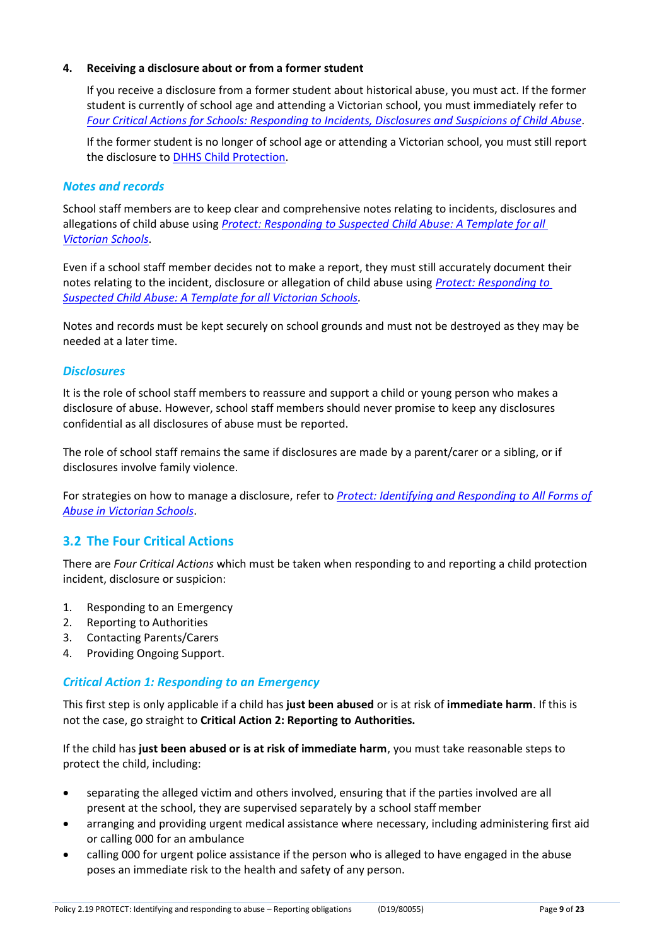#### **4. Receiving a disclosure about or from a former student**

If you receive a disclosure from a former student about historical abuse, you must act. If the former student is currently of school age and attending a Victorian school, you must immediately refer to *[Four Critical Actions for Schools: Responding to Incidents, Disclosures and Suspicions of Child](http://www.education.vic.gov.au/Documents/about/programs/health/protect/FourCriticalActions_ChildAbuse.pdf) [Abuse](http://www.education.vic.gov.au/Documents/about/programs/health/protect/FourCriticalActions_ChildAbuse.pdf)*.

If the former student is no longer of school age or attending a Victorian school, you must still report the disclosure to [DHHS Child Protection.](http://www.education.vic.gov.au/about/contact/Pages/reportingabuse.aspx?Redirect=1)

#### *Notes and records*

School staff members are to keep clear and comprehensive notes relating to incidents, disclosures and allegations of child abuse using *[Protect: Responding to Suspected Child Abuse: A Template for all](http://www.education.vic.gov.au/Documents/about/programs/health/protect/PROTECT_Responding_TemplateSchools.pdf)  [Victorian Schools](http://www.education.vic.gov.au/Documents/about/programs/health/protect/PROTECT_Responding_TemplateSchools.pdf)*.

Even if a school staff member decides not to make a report, they must still accurately document their notes relating to the incident, disclosure or allegation of child abuse using *[Protect: Responding to](http://www.education.vic.gov.au/Documents/about/programs/health/protect/PROTECT_Responding_TemplateSchools.pdf)  [Suspected Child Abuse: A Template for all Victorian Schools.](http://www.education.vic.gov.au/Documents/about/programs/health/protect/PROTECT_Responding_TemplateSchools.pdf)*

Notes and records must be kept securely on school grounds and must not be destroyed as they may be needed at a later time.

#### *Disclosures*

It is the role of school staff members to reassure and support a child or young person who makes a disclosure of abuse. However, school staff members should never promise to keep any disclosures confidential as all disclosures of abuse must be reported.

The role of school staff remains the same if disclosures are made by a parent/carer or a sibling, or if disclosures involve family violence.

For strategies on how to manage a disclosure, refer to *[Protect: Identifying and Responding to All Forms of](http://www.education.vic.gov.au/Documents/about/programs/health/protect/ChildSafeStandard5_SchoolsGuide.pdf) [Abuse in Victorian Schools](http://www.education.vic.gov.au/Documents/about/programs/health/protect/ChildSafeStandard5_SchoolsGuide.pdf)*.

#### **3.2 The Four Critical Actions**

There are *Four Critical Actions* which must be taken when responding to and reporting a child protection incident, disclosure or suspicion:

- 1. Responding to an Emergency
- 2. Reporting to Authorities
- 3. Contacting Parents/Carers
- 4. Providing Ongoing Support.

#### *Critical Action 1: Responding to an Emergency*

This first step is only applicable if a child has **just been abused** or is at risk of **immediate harm**. If this is not the case, go straight to **Critical Action 2: Reporting to Authorities.**

If the child has **just been abused or is at risk of immediate harm**, you must take reasonable steps to protect the child, including:

- separating the alleged victim and others involved, ensuring that if the parties involved are all present at the school, they are supervised separately by a school staff member
- arranging and providing urgent medical assistance where necessary, including administering first aid or calling 000 for an ambulance
- calling 000 for urgent police assistance if the person who is alleged to have engaged in the abuse poses an immediate risk to the health and safety of any person.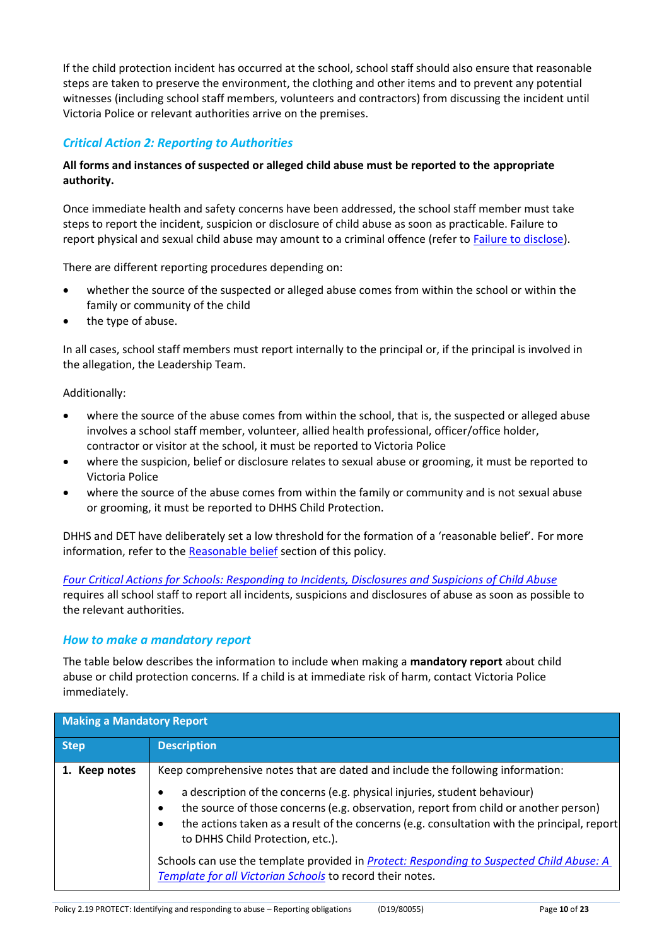If the child protection incident has occurred at the school, school staff should also ensure that reasonable steps are taken to preserve the environment, the clothing and other items and to prevent any potential witnesses (including school staff members, volunteers and contractors) from discussing the incident until Victoria Police or relevant authorities arrive on the premises.

### *Critical Action 2: Reporting to Authorities*

#### **All forms and instances of suspected or alleged child abuse must be reported to the appropriate authority.**

Once immediate health and safety concerns have been addressed, the school staff member must take steps to report the incident, suspicion or disclosure of child abuse as soon as practicable. Failure to report physical and sexual child abuse may amount to a criminal offence (refer to [Failure to disclose\)](#page-5-0).

There are different reporting procedures depending on:

- whether the source of the suspected or alleged abuse comes from within the school or within the family or community of the child
- the type of abuse.

In all cases, school staff members must report internally to the principal or, if the principal is involved in the allegation, the Leadership Team.

Additionally:

- where the source of the abuse comes from within the school, that is, the suspected or alleged abuse involves a school staff member, volunteer, allied health professional, officer/office holder, contractor or visitor at the school, it must be reported to Victoria Police
- where the suspicion, belief or disclosure relates to sexual abuse or grooming, it must be reported to Victoria Police
- where the source of the abuse comes from within the family or community and is not sexual abuse or grooming, it must be reported to DHHS Child Protection.

DHHS and DET have deliberately set a low threshold for the formation of a 'reasonable belief'. For more information, refer to the [Reasonable belief](#page-3-0) section of this policy.

*[Four Critical Actions for Schools: Responding to Incidents, Disclosures and Suspicions of Child Abuse](http://www.education.vic.gov.au/Documents/about/programs/health/protect/FourCriticalActions_ChildAbuse.pdf)* requires all school staff to report all incidents, suspicions and disclosures of abuse as soon as possible to the relevant authorities.

#### *How to make a mandatory report*

The table below describes the information to include when making a **mandatory report** about child abuse or child protection concerns. If a child is at immediate risk of harm, contact Victoria Police immediately.

| <b>Making a Mandatory Report</b> |                                                                                                                                                                                                                                                                                                                                 |
|----------------------------------|---------------------------------------------------------------------------------------------------------------------------------------------------------------------------------------------------------------------------------------------------------------------------------------------------------------------------------|
| <b>Step</b>                      | <b>Description</b>                                                                                                                                                                                                                                                                                                              |
| 1. Keep notes                    | Keep comprehensive notes that are dated and include the following information:                                                                                                                                                                                                                                                  |
|                                  | a description of the concerns (e.g. physical injuries, student behaviour)<br>the source of those concerns (e.g. observation, report from child or another person)<br>$\bullet$<br>the actions taken as a result of the concerns (e.g. consultation with the principal, report)<br>$\bullet$<br>to DHHS Child Protection, etc.). |
|                                  | Schools can use the template provided in Protect: Responding to Suspected Child Abuse: A<br>Template for all Victorian Schools to record their notes.                                                                                                                                                                           |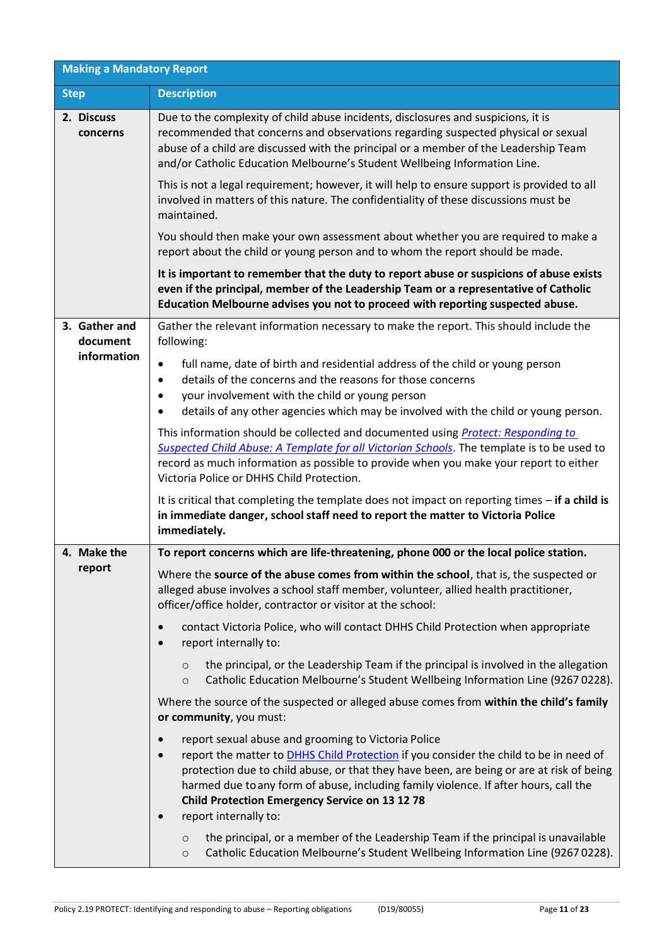| <b>Making a Mandatory Report</b> |                                                                                                                                                                                                                                                                                                                                                                                                                                                           |  |
|----------------------------------|-----------------------------------------------------------------------------------------------------------------------------------------------------------------------------------------------------------------------------------------------------------------------------------------------------------------------------------------------------------------------------------------------------------------------------------------------------------|--|
| <b>Step</b>                      | <b>Description</b>                                                                                                                                                                                                                                                                                                                                                                                                                                        |  |
| 2. Discuss<br>concerns           | Due to the complexity of child abuse incidents, disclosures and suspicions, it is<br>recommended that concerns and observations regarding suspected physical or sexual<br>abuse of a child are discussed with the principal or a member of the Leadership Team<br>and/or Catholic Education Melbourne's Student Wellbeing Information Line.                                                                                                               |  |
|                                  | This is not a legal requirement; however, it will help to ensure support is provided to all<br>involved in matters of this nature. The confidentiality of these discussions must be<br>maintained.                                                                                                                                                                                                                                                        |  |
|                                  | You should then make your own assessment about whether you are required to make a<br>report about the child or young person and to whom the report should be made.                                                                                                                                                                                                                                                                                        |  |
|                                  | It is important to remember that the duty to report abuse or suspicions of abuse exists<br>even if the principal, member of the Leadership Team or a representative of Catholic<br>Education Melbourne advises you not to proceed with reporting suspected abuse.                                                                                                                                                                                         |  |
| 3. Gather and<br>document        | Gather the relevant information necessary to make the report. This should include the<br>following:                                                                                                                                                                                                                                                                                                                                                       |  |
| information                      | full name, date of birth and residential address of the child or young person<br>$\bullet$<br>details of the concerns and the reasons for those concerns<br>$\bullet$<br>your involvement with the child or young person<br>$\bullet$<br>details of any other agencies which may be involved with the child or young person.<br>$\bullet$                                                                                                                 |  |
|                                  | This information should be collected and documented using Protect: Responding to<br>Suspected Child Abuse: A Template for all Victorian Schools. The template is to be used to<br>record as much information as possible to provide when you make your report to either<br>Victoria Police or DHHS Child Protection.                                                                                                                                      |  |
|                                  | It is critical that completing the template does not impact on reporting times $-$ if a child is<br>in immediate danger, school staff need to report the matter to Victoria Police<br>immediately.                                                                                                                                                                                                                                                        |  |
| 4. Make the                      | To report concerns which are life-threatening, phone 000 or the local police station.                                                                                                                                                                                                                                                                                                                                                                     |  |
| report                           | Where the source of the abuse comes from within the school, that is, the suspected or<br>alleged abuse involves a school staff member, volunteer, allied health practitioner,<br>officer/office holder, contractor or visitor at the school:                                                                                                                                                                                                              |  |
|                                  | contact Victoria Police, who will contact DHHS Child Protection when appropriate<br>$\bullet$<br>report internally to:<br>$\bullet$                                                                                                                                                                                                                                                                                                                       |  |
|                                  | the principal, or the Leadership Team if the principal is involved in the allegation<br>$\circ$<br>Catholic Education Melbourne's Student Wellbeing Information Line (9267 0228).<br>$\circ$                                                                                                                                                                                                                                                              |  |
|                                  | Where the source of the suspected or alleged abuse comes from within the child's family<br>or community, you must:                                                                                                                                                                                                                                                                                                                                        |  |
|                                  | report sexual abuse and grooming to Victoria Police<br>$\bullet$<br>report the matter to DHHS Child Protection if you consider the child to be in need of<br>$\bullet$<br>protection due to child abuse, or that they have been, are being or are at risk of being<br>harmed due to any form of abuse, including family violence. If after hours, call the<br><b>Child Protection Emergency Service on 13 12 78</b><br>report internally to:<br>$\bullet$ |  |
|                                  | the principal, or a member of the Leadership Team if the principal is unavailable<br>$\circ$<br>Catholic Education Melbourne's Student Wellbeing Information Line (92670228).<br>$\circ$                                                                                                                                                                                                                                                                  |  |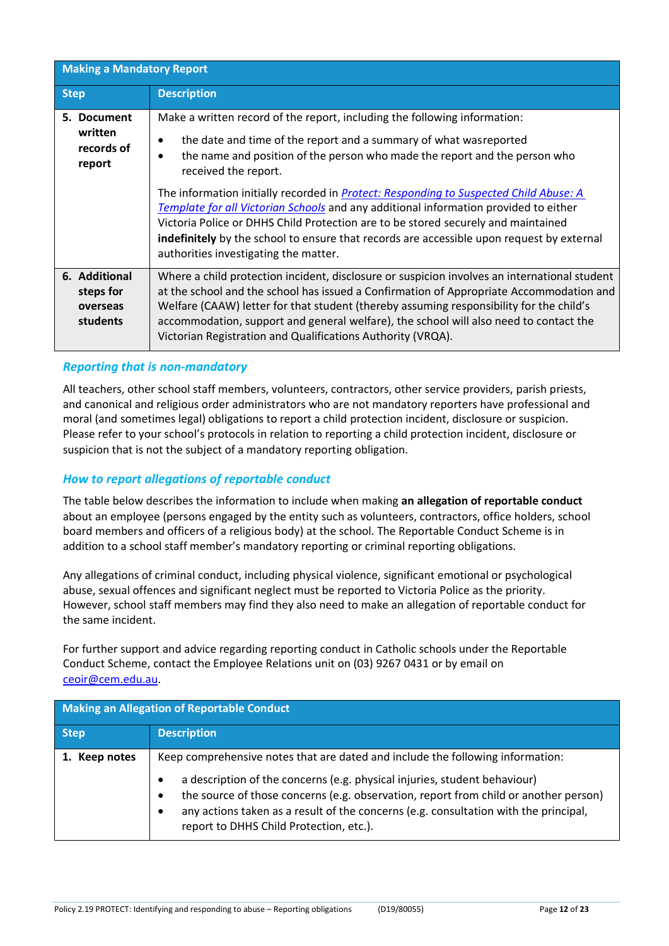| <b>Making a Mandatory Report</b>                   |                                                                                                                                                                                                                                                                                                                                                                                                                                                                                                                                                                                                                                                                                            |
|----------------------------------------------------|--------------------------------------------------------------------------------------------------------------------------------------------------------------------------------------------------------------------------------------------------------------------------------------------------------------------------------------------------------------------------------------------------------------------------------------------------------------------------------------------------------------------------------------------------------------------------------------------------------------------------------------------------------------------------------------------|
| <b>Step</b>                                        | <b>Description</b>                                                                                                                                                                                                                                                                                                                                                                                                                                                                                                                                                                                                                                                                         |
| 5. Document<br>written<br>records of<br>report     | Make a written record of the report, including the following information:<br>the date and time of the report and a summary of what was reported<br>٠<br>the name and position of the person who made the report and the person who<br>$\bullet$<br>received the report.<br>The information initially recorded in <b>Protect: Responding to Suspected Child Abuse: A</b><br>Template for all Victorian Schools and any additional information provided to either<br>Victoria Police or DHHS Child Protection are to be stored securely and maintained<br>indefinitely by the school to ensure that records are accessible upon request by external<br>authorities investigating the matter. |
| 6. Additional<br>steps for<br>overseas<br>students | Where a child protection incident, disclosure or suspicion involves an international student<br>at the school and the school has issued a Confirmation of Appropriate Accommodation and<br>Welfare (CAAW) letter for that student (thereby assuming responsibility for the child's<br>accommodation, support and general welfare), the school will also need to contact the<br>Victorian Registration and Qualifications Authority (VRQA).                                                                                                                                                                                                                                                 |

## *Reporting that is non-mandatory*

All teachers, other school staff members, volunteers, contractors, other service providers, parish priests, and canonical and religious order administrators who are not mandatory reporters have professional and moral (and sometimes legal) obligations to report a child protection incident, disclosure or suspicion. Please refer to your school's protocols in relation to reporting a child protection incident, disclosure or suspicion that is not the subject of a mandatory reporting obligation.

#### *How to report allegations of reportable conduct*

The table below describes the information to include when making **an allegation of reportable conduct**  about an employee (persons engaged by the entity such as volunteers, contractors, office holders, school board members and officers of a religious body) at the school. The Reportable Conduct Scheme is in addition to a school staff member's mandatory reporting or criminal reporting obligations.

Any allegations of criminal conduct, including physical violence, significant emotional or psychological abuse, sexual offences and significant neglect must be reported to Victoria Police as the priority. However, school staff members may find they also need to make an allegation of reportable conduct for the same incident.

For further support and advice regarding reporting conduct in Catholic schools under the Reportable Conduct Scheme, contact the Employee Relations unit on (03) 9267 0431 or by email on [ceoir@cem.edu.au.](mailto:ceoir@cem.edu.au)

| <b>Making an Allegation of Reportable Conduct</b> |                                                                                                                                                                                                                                                                                                                                                                                                                  |
|---------------------------------------------------|------------------------------------------------------------------------------------------------------------------------------------------------------------------------------------------------------------------------------------------------------------------------------------------------------------------------------------------------------------------------------------------------------------------|
| <b>Step</b>                                       | <b>Description</b>                                                                                                                                                                                                                                                                                                                                                                                               |
| 1. Keep notes                                     | Keep comprehensive notes that are dated and include the following information:<br>a description of the concerns (e.g. physical injuries, student behaviour)<br>the source of those concerns (e.g. observation, report from child or another person)<br>$\bullet$<br>any actions taken as a result of the concerns (e.g. consultation with the principal,<br>$\bullet$<br>report to DHHS Child Protection, etc.). |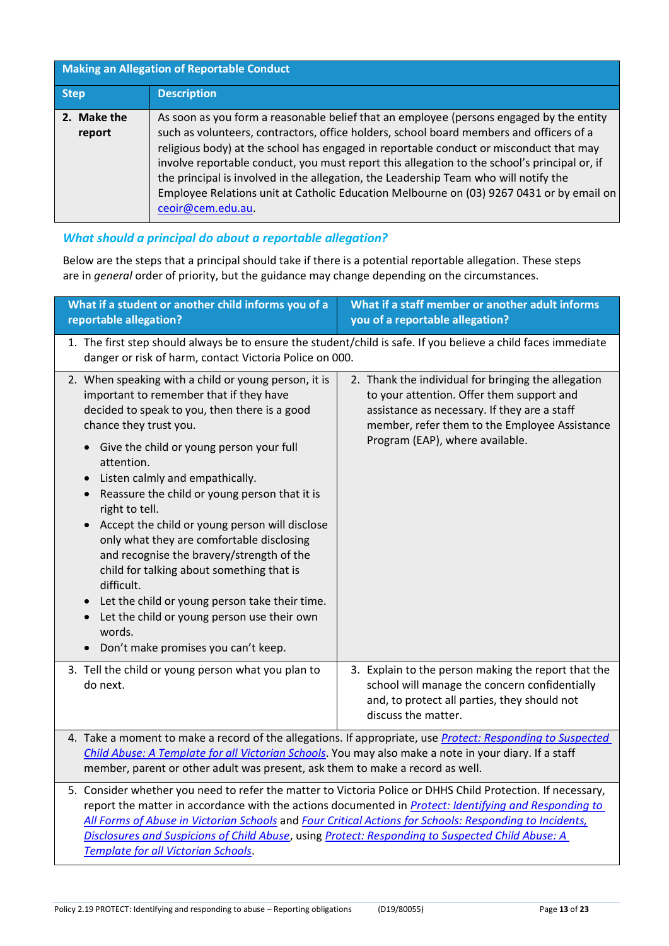| <b>Making an Allegation of Reportable Conduct</b> |                                                                                                                                                                                                                                                                                                                                                                                                                                                                                                                                                                                       |
|---------------------------------------------------|---------------------------------------------------------------------------------------------------------------------------------------------------------------------------------------------------------------------------------------------------------------------------------------------------------------------------------------------------------------------------------------------------------------------------------------------------------------------------------------------------------------------------------------------------------------------------------------|
| <b>Step</b>                                       | <b>Description</b>                                                                                                                                                                                                                                                                                                                                                                                                                                                                                                                                                                    |
| 2. Make the<br>report                             | As soon as you form a reasonable belief that an employee (persons engaged by the entity<br>such as volunteers, contractors, office holders, school board members and officers of a<br>religious body) at the school has engaged in reportable conduct or misconduct that may<br>involve reportable conduct, you must report this allegation to the school's principal or, if<br>the principal is involved in the allegation, the Leadership Team who will notify the<br>Employee Relations unit at Catholic Education Melbourne on (03) 9267 0431 or by email on<br>ceoir@cem.edu.au. |

### *What should a principal do about a reportable allegation?*

Below are the steps that a principal should take if there is a potential reportable allegation. These steps are in *general* order of priority, but the guidance may change depending on the circumstances.

| What if a student or another child informs you of a<br>reportable allegation?                                                                                                                                                                                                                                                                                                                                                                                                                                                                                                                                                                                                                                                                                                     | What if a staff member or another adult informs<br>you of a reportable allegation?                                                                                                                                                   |
|-----------------------------------------------------------------------------------------------------------------------------------------------------------------------------------------------------------------------------------------------------------------------------------------------------------------------------------------------------------------------------------------------------------------------------------------------------------------------------------------------------------------------------------------------------------------------------------------------------------------------------------------------------------------------------------------------------------------------------------------------------------------------------------|--------------------------------------------------------------------------------------------------------------------------------------------------------------------------------------------------------------------------------------|
| danger or risk of harm, contact Victoria Police on 000.                                                                                                                                                                                                                                                                                                                                                                                                                                                                                                                                                                                                                                                                                                                           | 1. The first step should always be to ensure the student/child is safe. If you believe a child faces immediate                                                                                                                       |
| 2. When speaking with a child or young person, it is<br>important to remember that if they have<br>decided to speak to you, then there is a good<br>chance they trust you.<br>Give the child or young person your full<br>$\bullet$<br>attention.<br>Listen calmly and empathically.<br>$\bullet$<br>Reassure the child or young person that it is<br>$\bullet$<br>right to tell.<br>Accept the child or young person will disclose<br>$\bullet$<br>only what they are comfortable disclosing<br>and recognise the bravery/strength of the<br>child for talking about something that is<br>difficult.<br>Let the child or young person take their time.<br>$\bullet$<br>Let the child or young person use their own<br>words.<br>Don't make promises you can't keep.<br>$\bullet$ | 2. Thank the individual for bringing the allegation<br>to your attention. Offer them support and<br>assistance as necessary. If they are a staff<br>member, refer them to the Employee Assistance<br>Program (EAP), where available. |
| 3. Tell the child or young person what you plan to<br>do next.                                                                                                                                                                                                                                                                                                                                                                                                                                                                                                                                                                                                                                                                                                                    | 3. Explain to the person making the report that the<br>school will manage the concern confidentially<br>and, to protect all parties, they should not<br>discuss the matter.                                                          |
| Child Abuse: A Template for all Victorian Schools. You may also make a note in your diary. If a staff<br>member, parent or other adult was present, ask them to make a record as well.                                                                                                                                                                                                                                                                                                                                                                                                                                                                                                                                                                                            | 4. Take a moment to make a record of the allegations. If appropriate, use Protect: Responding to Suspected                                                                                                                           |
| 5. Consider whether you need to refer the matter to Victoria Police or DHHS Child Protection. If necessary,<br>report the matter in accordance with the actions documented in Protect: Identifying and Responding to<br>All Forms of Abuse in Victorian Schools and Four Critical Actions for Schools: Responding to Incidents,<br>Disclosures and Suspicions of Child Abuse, using Protect: Responding to Suspected Child Abuse: A<br><b>Template for all Victorian Schools.</b>                                                                                                                                                                                                                                                                                                 |                                                                                                                                                                                                                                      |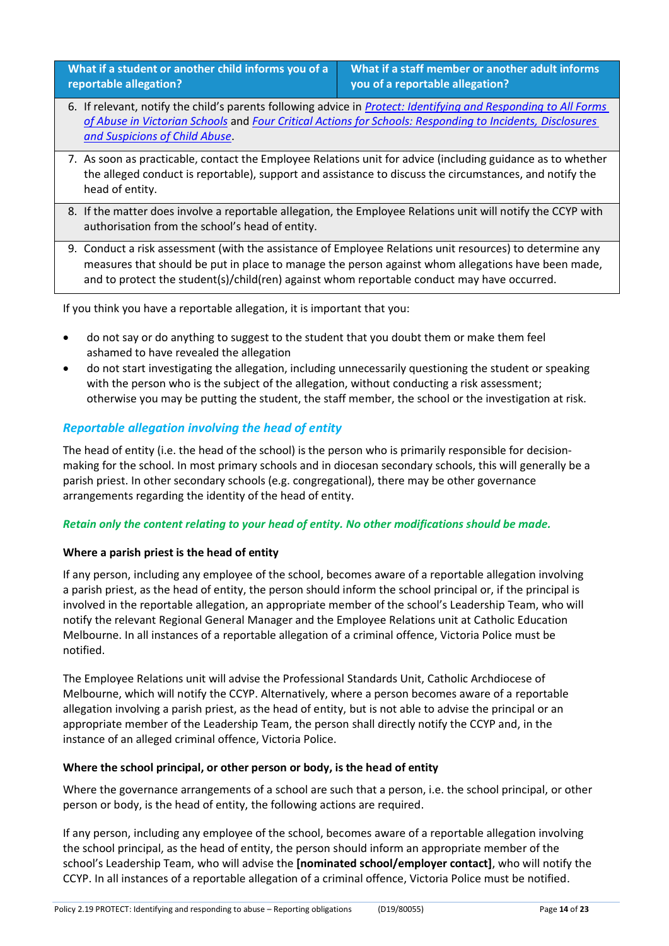**What if a student or another child informs you of a reportable allegation?**

**What if a staff member or another adult informs you of a reportable allegation?**

- 6. If relevant, notify the child's parents following advice in *[Protect: Identifying and Responding to All Forms](https://www.education.vic.gov.au/Documents/about/programs/health/protect/ChildSafeStandard5_SchoolsGuide.pdf)  [of Abuse in Victorian Schools](https://www.education.vic.gov.au/Documents/about/programs/health/protect/ChildSafeStandard5_SchoolsGuide.pdf)* and *[Four Critical Actions for Schools: Responding to Incidents,](https://www.education.vic.gov.au/Documents/about/programs/health/protect/FourCriticalActions_ChildAbuse.pdf) Disclosures [and Suspicions of Child Abuse](https://www.education.vic.gov.au/Documents/about/programs/health/protect/FourCriticalActions_ChildAbuse.pdf)*.
- 7. As soon as practicable, contact the Employee Relations unit for advice (including guidance as to whether the alleged conduct is reportable), support and assistance to discuss the circumstances, and notify the head of entity.
- 8. If the matter does involve a reportable allegation, the Employee Relations unit will notify the CCYP with authorisation from the school's head of entity.
- 9. Conduct a risk assessment (with the assistance of Employee Relations unit resources) to determine any measures that should be put in place to manage the person against whom allegations have been made, and to protect the student(s)/child(ren) against whom reportable conduct may have occurred.

If you think you have a reportable allegation, it is important that you:

- do not say or do anything to suggest to the student that you doubt them or make them feel ashamed to have revealed the allegation
- do not start investigating the allegation, including unnecessarily questioning the student or speaking with the person who is the subject of the allegation, without conducting a risk assessment; otherwise you may be putting the student, the staff member, the school or the investigation at risk.

### *Reportable allegation involving the head of entity*

The head of entity (i.e. the head of the school) is the person who is primarily responsible for decisionmaking for the school. In most primary schools and in diocesan secondary schools, this will generally be a parish priest. In other secondary schools (e.g. congregational), there may be other governance arrangements regarding the identity of the head of entity.

#### *Retain only the content relating to your head of entity. No other modifications should be made.*

#### **Where a parish priest is the head of entity**

If any person, including any employee of the school, becomes aware of a reportable allegation involving a parish priest, as the head of entity, the person should inform the school principal or, if the principal is involved in the reportable allegation, an appropriate member of the school's Leadership Team, who will notify the relevant Regional General Manager and the Employee Relations unit at Catholic Education Melbourne. In all instances of a reportable allegation of a criminal offence, Victoria Police must be notified.

The Employee Relations unit will advise the Professional Standards Unit, Catholic Archdiocese of Melbourne, which will notify the CCYP. Alternatively, where a person becomes aware of a reportable allegation involving a parish priest, as the head of entity, but is not able to advise the principal or an appropriate member of the Leadership Team, the person shall directly notify the CCYP and, in the instance of an alleged criminal offence, Victoria Police.

#### **Where the school principal, or other person or body, is the head of entity**

Where the governance arrangements of a school are such that a person, i.e. the school principal, or other person or body, is the head of entity, the following actions are required.

If any person, including any employee of the school, becomes aware of a reportable allegation involving the school principal, as the head of entity, the person should inform an appropriate member of the school's Leadership Team, who will advise the **[nominated school/employer contact]**, who will notify the CCYP. In all instances of a reportable allegation of a criminal offence, Victoria Police must be notified.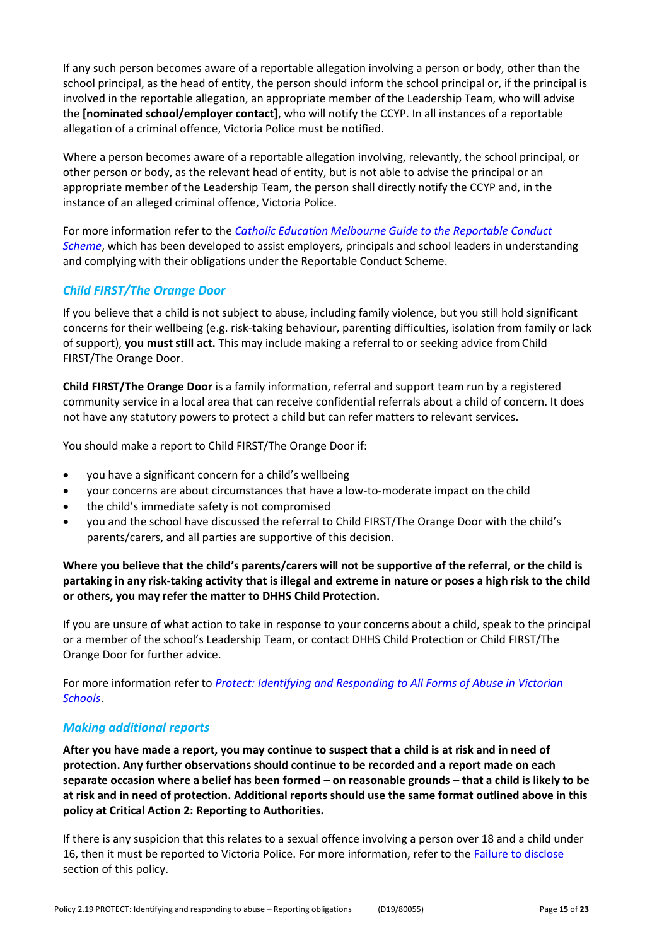If any such person becomes aware of a reportable allegation involving a person or body, other than the school principal, as the head of entity, the person should inform the school principal or, if the principal is involved in the reportable allegation, an appropriate member of the Leadership Team, who will advise the **[nominated school/employer contact]**, who will notify the CCYP. In all instances of a reportable allegation of a criminal offence, Victoria Police must be notified.

Where a person becomes aware of a reportable allegation involving, relevantly, the school principal, or other person or body, as the relevant head of entity, but is not able to advise the principal or an appropriate member of the Leadership Team, the person shall directly notify the CCYP and, in the instance of an alleged criminal offence, Victoria Police.

For more information refer to the *[Catholic Education Melbourne Guide to the Reportable Conduct](http://www.cecv.catholic.edu.au/Media-Files/IR/Reportable-Conduct/Child-Safety/CEM-Guide-to-the-Reportable-Conduct-Scheme.aspx)  [Scheme](http://www.cecv.catholic.edu.au/Media-Files/IR/Reportable-Conduct/Child-Safety/CEM-Guide-to-the-Reportable-Conduct-Scheme.aspx)*, which has been developed to assist employers, principals and school leaders in understanding and complying with their obligations under the Reportable Conduct Scheme.

### *Child FIRST/The Orange Door*

If you believe that a child is not subject to abuse, including family violence, but you still hold significant concerns for their wellbeing (e.g. risk-taking behaviour, parenting difficulties, isolation from family or lack of support), **you must still act.** This may include making a referral to or seeking advice fromChild FIRST/The Orange Door.

**Child FIRST/The Orange Door** is a family information, referral and support team run by a registered community service in a local area that can receive confidential referrals about a child of concern. It does not have any statutory powers to protect a child but can refer matters to relevant services.

You should make a report to Child FIRST/The Orange Door if:

- you have a significant concern for a child's wellbeing
- your concerns are about circumstances that have a low-to-moderate impact on the child
- the child's immediate safety is not compromised
- you and the school have discussed the referral to Child FIRST/The Orange Door with the child's parents/carers, and all parties are supportive of this decision.

Where you believe that the child's parents/carers will not be supportive of the referral, or the child is **partaking in any risk-taking activity that is illegal and extreme in nature or poses a high risk to the child or others, you may refer the matter to DHHS Child Protection.**

If you are unsure of what action to take in response to your concerns about a child, speak to the principal or a member of the school's Leadership Team, or contact DHHS Child Protection or Child FIRST/The Orange Door for further advice.

For more information refer to *[Protect: Identifying and Responding to All Forms of Abuse in Victorian](http://www.education.vic.gov.au/Documents/about/programs/health/protect/ChildSafeStandard5_SchoolsGuide.pdf)  [Schools](http://www.education.vic.gov.au/Documents/about/programs/health/protect/ChildSafeStandard5_SchoolsGuide.pdf)*.

#### *Making additional reports*

**After you have made a report, you may continue to suspect that a child is at risk and in need of protection. Any further observations should continue to be recorded and a report made on each separate occasion where a belief has been formed – on reasonable grounds – that a child is likely to be at risk and in need of protection. Additional reports should use the same format outlined above in this policy at Critical Action 2: Reporting to Authorities.**

If there is any suspicion that this relates to a sexual offence involving a person over 18 and a child under 16, then it must be reported to Victoria Police. For more information, refer to the [Failure to disclose](#page-5-0) section of this policy.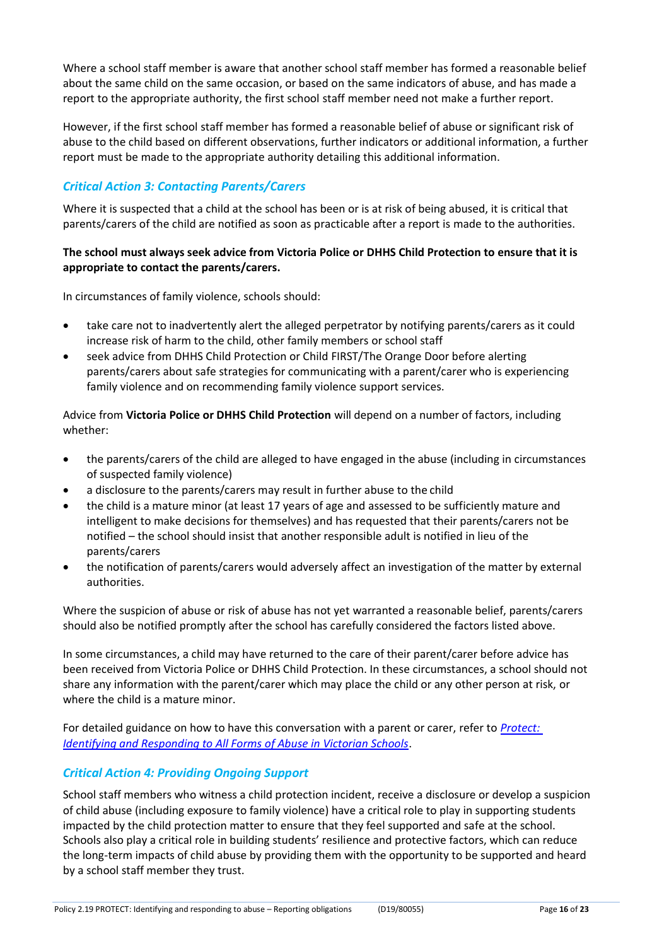Where a school staff member is aware that another school staff member has formed a reasonable belief about the same child on the same occasion, or based on the same indicators of abuse, and has made a report to the appropriate authority, the first school staff member need not make a further report.

However, if the first school staff member has formed a reasonable belief of abuse or significant risk of abuse to the child based on different observations, further indicators or additional information, a further report must be made to the appropriate authority detailing this additional information.

## *Critical Action 3: Contacting Parents/Carers*

Where it is suspected that a child at the school has been or is at risk of being abused, it is critical that parents/carers of the child are notified as soon as practicable after a report is made to the authorities.

#### **The school must always seek advice from Victoria Police or DHHS Child Protection to ensure that it is appropriate to contact the parents/carers.**

In circumstances of family violence, schools should:

- take care not to inadvertently alert the alleged perpetrator by notifying parents/carers as it could increase risk of harm to the child, other family members or school staff
- seek advice from DHHS Child Protection or Child FIRST/The Orange Door before alerting parents/carers about safe strategies for communicating with a parent/carer who is experiencing family violence and on recommending family violence support services.

Advice from **Victoria Police or DHHS Child Protection** will depend on a number of factors, including whether:

- the parents/carers of the child are alleged to have engaged in the abuse (including in circumstances of suspected family violence)
- a disclosure to the parents/carers may result in further abuse to the child
- the child is a mature minor (at least 17 years of age and assessed to be sufficiently mature and intelligent to make decisions for themselves) and has requested that their parents/carers not be notified – the school should insist that another responsible adult is notified in lieu of the parents/carers
- the notification of parents/carers would adversely affect an investigation of the matter by external authorities.

Where the suspicion of abuse or risk of abuse has not yet warranted a reasonable belief, parents/carers should also be notified promptly after the school has carefully considered the factors listed above.

In some circumstances, a child may have returned to the care of their parent/carer before advice has been received from Victoria Police or DHHS Child Protection. In these circumstances, a school should not share any information with the parent/carer which may place the child or any other person at risk, or where the child is a mature minor.

For detailed guidance on how to have this conversation with a parent or carer, refer to *[Protect:](http://www.education.vic.gov.au/Documents/about/programs/health/protect/ChildSafeStandard5_SchoolsGuide.pdf)  [Identifying and Responding to All Forms of Abuse in Victorian Schools](http://www.education.vic.gov.au/Documents/about/programs/health/protect/ChildSafeStandard5_SchoolsGuide.pdf)*.

## *Critical Action 4: Providing Ongoing Support*

School staff members who witness a child protection incident, receive a disclosure or develop a suspicion of child abuse (including exposure to family violence) have a critical role to play in supporting students impacted by the child protection matter to ensure that they feel supported and safe at the school. Schools also play a critical role in building students' resilience and protective factors, which can reduce the long-term impacts of child abuse by providing them with the opportunity to be supported and heard by a school staff member they trust.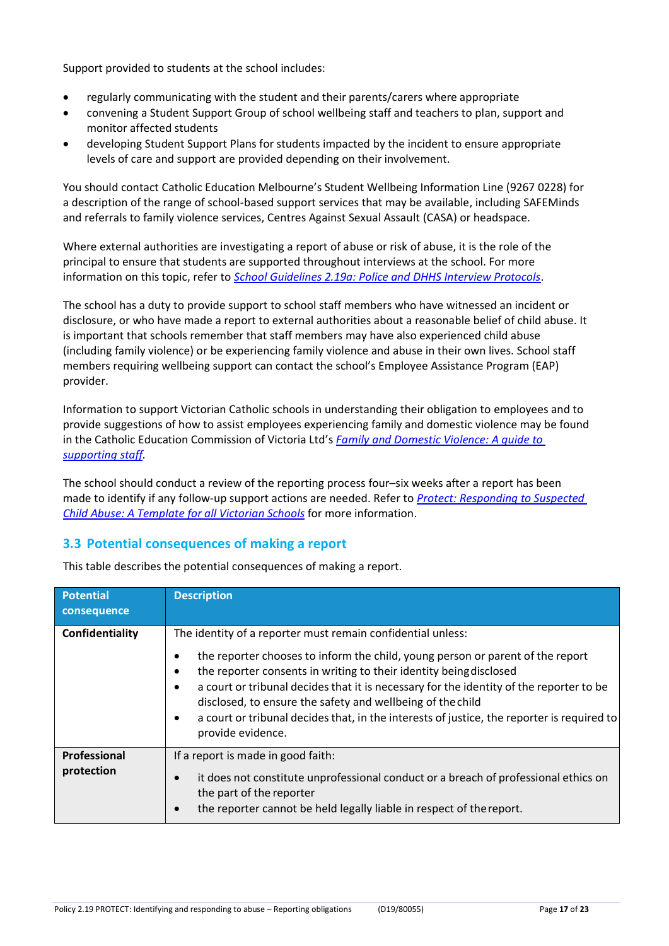Support provided to students at the school includes:

- regularly communicating with the student and their parents/carers where appropriate
- convening a Student Support Group of school wellbeing staff and teachers to plan, support and monitor affected students
- developing Student Support Plans for students impacted by the incident to ensure appropriate levels of care and support are provided depending on their involvement.

You should contact Catholic Education Melbourne's Student Wellbeing Information Line (9267 0228) for a description of the range of school-based support services that may be available, including SAFEMinds and referrals to family violence services, Centres Against Sexual Assault (CASA) or headspace.

Where external authorities are investigating a report of abuse or risk of abuse, it is the role of the principal to ensure that students are supported throughout interviews at the school. For more information on this topic, refer to *[School Guidelines 2.19a: Police and DHHS Interview Protocols](https://www.cem.edu.au/About-Us/Policies/Police-and-DHHS-Interview-Protocols.aspx)*.

The school has a duty to provide support to school staff members who have witnessed an incident or disclosure, or who have made a report to external authorities about a reasonable belief of child abuse. It is important that schools remember that staff members may have also experienced child abuse (including family violence) or be experiencing family violence and abuse in their own lives. School staff members requiring wellbeing support can contact the school's Employee Assistance Program (EAP) provider.

Information to support Victorian Catholic schools in understanding their obligation to employees and to provide suggestions of how to assist employees experiencing family and domestic violence may be found in the Catholic Education Commission of Victoria Ltd's *[Family and Domestic Violence: A guide to](http://www.cecv.catholic.edu.au/Media-Files/IR/Policies-Guidelines/Family-Domestic-Violence/Guide-to-family-and-domestic-violence-(1).aspx)  [supporting staff.](http://www.cecv.catholic.edu.au/Media-Files/IR/Policies-Guidelines/Family-Domestic-Violence/Guide-to-family-and-domestic-violence-(1).aspx)*

The school should conduct a review of the reporting process four–six weeks after a report has been made to identify if any follow-up support actions are needed. Refer to *[Protect: Responding to Suspected](http://www.education.vic.gov.au/Documents/about/programs/health/protect/PROTECT_Responding_TemplateSchools.pdf)  [Child Abuse: A Template for all Victorian Schools](http://www.education.vic.gov.au/Documents/about/programs/health/protect/PROTECT_Responding_TemplateSchools.pdf)* for more information.

#### **3.3 Potential consequences of making a report**

| <b>Potential</b><br>consequence   | <b>Description</b>                                                                                                                                                                                                                                                                                                                                                                                                                                                                                           |
|-----------------------------------|--------------------------------------------------------------------------------------------------------------------------------------------------------------------------------------------------------------------------------------------------------------------------------------------------------------------------------------------------------------------------------------------------------------------------------------------------------------------------------------------------------------|
| Confidentiality                   | The identity of a reporter must remain confidential unless:<br>the reporter chooses to inform the child, young person or parent of the report<br>the reporter consents in writing to their identity being disclosed<br>a court or tribunal decides that it is necessary for the identity of the reporter to be<br>$\bullet$<br>disclosed, to ensure the safety and wellbeing of the child<br>a court or tribunal decides that, in the interests of justice, the reporter is required to<br>provide evidence. |
| <b>Professional</b><br>protection | If a report is made in good faith:<br>it does not constitute unprofessional conduct or a breach of professional ethics on<br>$\bullet$<br>the part of the reporter<br>the reporter cannot be held legally liable in respect of the report.<br>$\bullet$                                                                                                                                                                                                                                                      |

This table describes the potential consequences of making a report.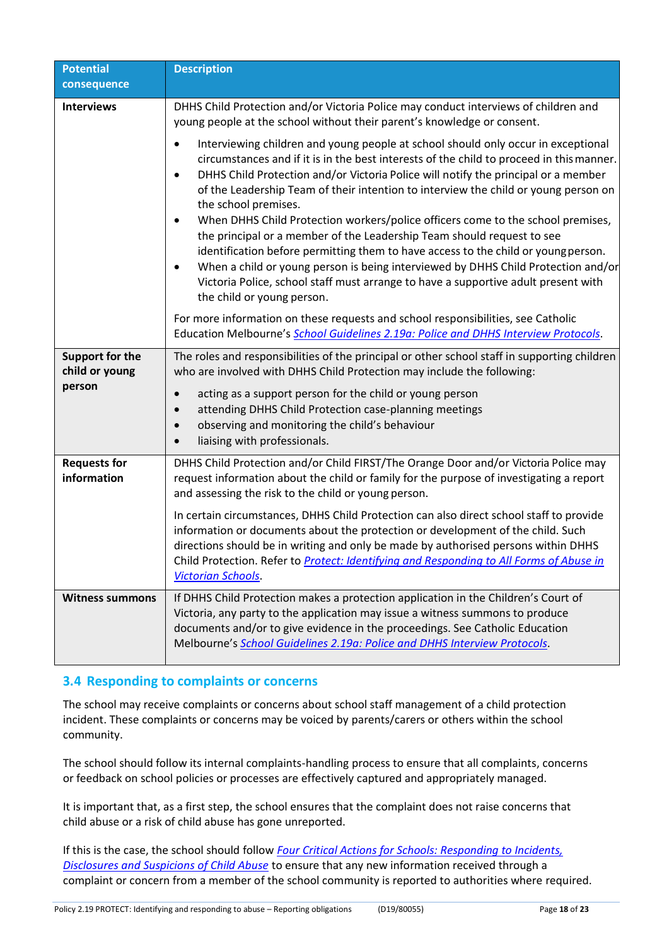| <b>Potential</b>                         | <b>Description</b>                                                                                                                                                                                                                                                                                                                                                                                                                                                                                                                                                                                                                                                                                                                                                                                                                                                            |
|------------------------------------------|-------------------------------------------------------------------------------------------------------------------------------------------------------------------------------------------------------------------------------------------------------------------------------------------------------------------------------------------------------------------------------------------------------------------------------------------------------------------------------------------------------------------------------------------------------------------------------------------------------------------------------------------------------------------------------------------------------------------------------------------------------------------------------------------------------------------------------------------------------------------------------|
| consequence                              |                                                                                                                                                                                                                                                                                                                                                                                                                                                                                                                                                                                                                                                                                                                                                                                                                                                                               |
| <b>Interviews</b>                        | DHHS Child Protection and/or Victoria Police may conduct interviews of children and<br>young people at the school without their parent's knowledge or consent.                                                                                                                                                                                                                                                                                                                                                                                                                                                                                                                                                                                                                                                                                                                |
|                                          | Interviewing children and young people at school should only occur in exceptional<br>$\bullet$<br>circumstances and if it is in the best interests of the child to proceed in this manner.<br>DHHS Child Protection and/or Victoria Police will notify the principal or a member<br>$\bullet$<br>of the Leadership Team of their intention to interview the child or young person on<br>the school premises.<br>When DHHS Child Protection workers/police officers come to the school premises,<br>the principal or a member of the Leadership Team should request to see<br>identification before permitting them to have access to the child or young person.<br>When a child or young person is being interviewed by DHHS Child Protection and/or<br>٠<br>Victoria Police, school staff must arrange to have a supportive adult present with<br>the child or young person. |
|                                          | For more information on these requests and school responsibilities, see Catholic<br>Education Melbourne's School Guidelines 2.19a: Police and DHHS Interview Protocols.                                                                                                                                                                                                                                                                                                                                                                                                                                                                                                                                                                                                                                                                                                       |
| <b>Support for the</b><br>child or young | The roles and responsibilities of the principal or other school staff in supporting children<br>who are involved with DHHS Child Protection may include the following:                                                                                                                                                                                                                                                                                                                                                                                                                                                                                                                                                                                                                                                                                                        |
| person                                   | acting as a support person for the child or young person<br>$\bullet$<br>attending DHHS Child Protection case-planning meetings<br>$\bullet$<br>observing and monitoring the child's behaviour<br>$\bullet$<br>liaising with professionals.<br>$\bullet$                                                                                                                                                                                                                                                                                                                                                                                                                                                                                                                                                                                                                      |
| <b>Requests for</b><br>information       | DHHS Child Protection and/or Child FIRST/The Orange Door and/or Victoria Police may<br>request information about the child or family for the purpose of investigating a report<br>and assessing the risk to the child or young person.                                                                                                                                                                                                                                                                                                                                                                                                                                                                                                                                                                                                                                        |
|                                          | In certain circumstances, DHHS Child Protection can also direct school staff to provide<br>information or documents about the protection or development of the child. Such<br>directions should be in writing and only be made by authorised persons within DHHS<br>Child Protection. Refer to <b>Protect: Identifying and Responding to All Forms of Abuse in</b><br><b>Victorian Schools.</b>                                                                                                                                                                                                                                                                                                                                                                                                                                                                               |
| <b>Witness summons</b>                   | If DHHS Child Protection makes a protection application in the Children's Court of<br>Victoria, any party to the application may issue a witness summons to produce<br>documents and/or to give evidence in the proceedings. See Catholic Education<br>Melbourne's School Guidelines 2.19a: Police and DHHS Interview Protocols.                                                                                                                                                                                                                                                                                                                                                                                                                                                                                                                                              |

## **3.4 Responding to complaints or concerns**

The school may receive complaints or concerns about school staff management of a child protection incident. These complaints or concerns may be voiced by parents/carers or others within the school community.

The school should follow its internal complaints-handling process to ensure that all complaints, concerns or feedback on school policies or processes are effectively captured and appropriately managed.

It is important that, as a first step, the school ensures that the complaint does not raise concerns that child abuse or a risk of child abuse has gone unreported.

If this is the case, the school should follow *[Four Critical Actions for Schools: Responding to Incidents,](http://www.education.vic.gov.au/Documents/about/programs/health/protect/FourCriticalActions_ChildAbuse.pdf) [Disclosures and Suspicions of Child Abuse](http://www.education.vic.gov.au/Documents/about/programs/health/protect/FourCriticalActions_ChildAbuse.pdf)* to ensure that any new information received through a complaint or concern from a member of the school community is reported to authorities where required.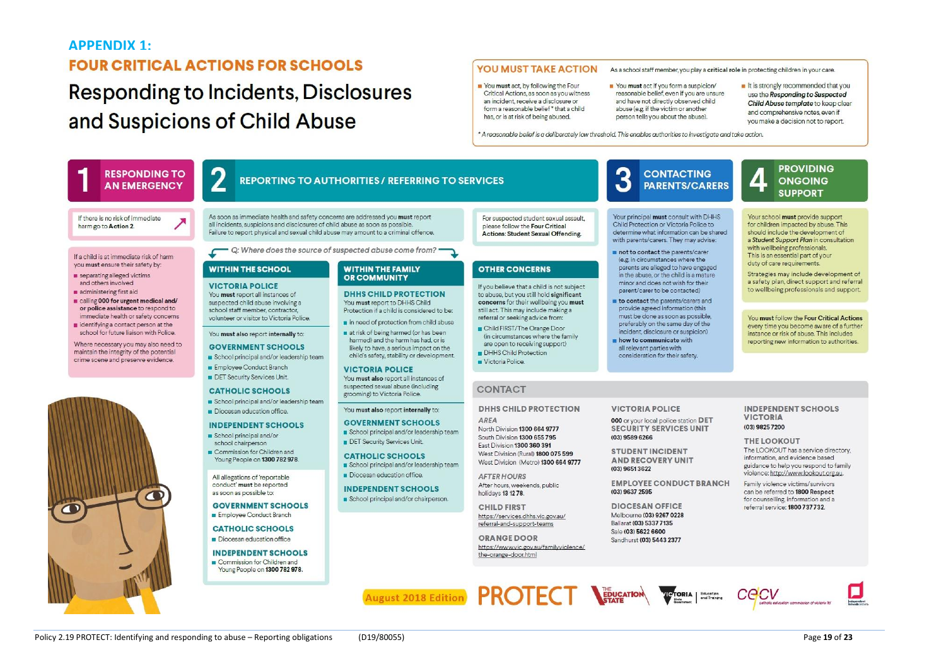#### **APPENDIX 1:**

# **FOUR CRITICAL ACTIONS FOR SCHOOLS**

# **Responding to Incidents, Disclosures** and Suspicions of Child Abuse

#### YOU MUST TAKE ACTION

You must act, by following the Four Critical Actions, as soon as you witness an incident, receive a disclosure or form a reasonable belief \* that a child has or is at risk of being abused.

You must act if you form a suspicion/ reasonable belief, even if you are unsure and have not directly observed child abuse (e.g. if the victim or another person tells you about the abuse).

As a school staff member, you play a critical role in protecting children in your care.

It is strongly recommended that you use the Responding to Suspected Child Abuse template to keep clear and comprehensive notes, even if voumake a decision not to report

\* A reasonable belief is a deliberately low threshold. This enables authorities to investigate and take action

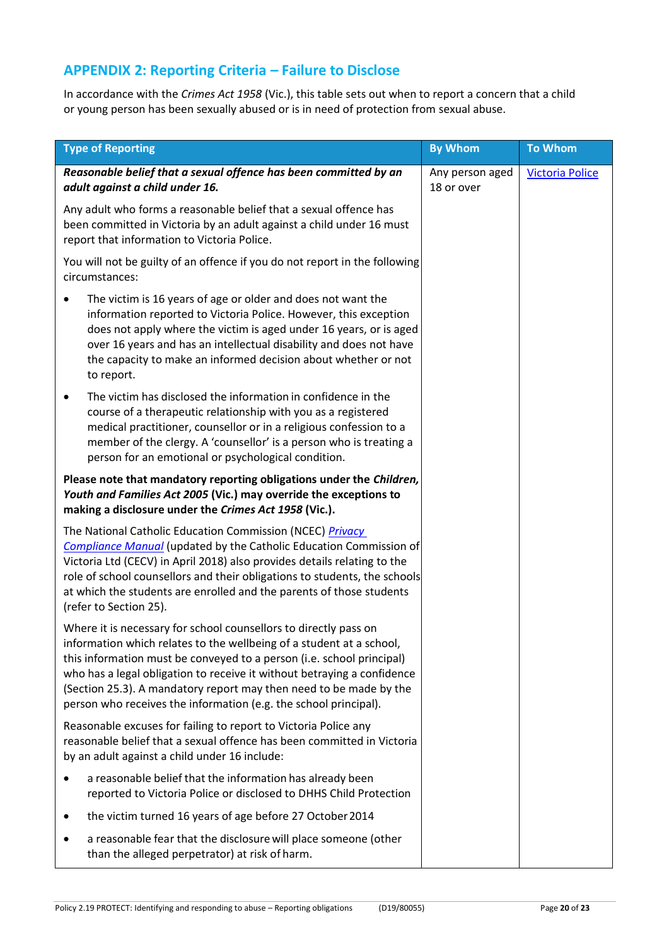# **APPENDIX 2: Reporting Criteria – Failure to Disclose**

In accordance with the *Crimes Act 1958* (Vic.), this table sets out when to report a concern that a child or young person has been sexually abused or is in need of protection from sexual abuse.

| <b>Type of Reporting</b>                                                                                                                                                                                                                                                                                                                                                                                                               | <b>By Whom</b>                | <b>To Whom</b>         |
|----------------------------------------------------------------------------------------------------------------------------------------------------------------------------------------------------------------------------------------------------------------------------------------------------------------------------------------------------------------------------------------------------------------------------------------|-------------------------------|------------------------|
| Reasonable belief that a sexual offence has been committed by an<br>adult against a child under 16.                                                                                                                                                                                                                                                                                                                                    | Any person aged<br>18 or over | <b>Victoria Police</b> |
| Any adult who forms a reasonable belief that a sexual offence has<br>been committed in Victoria by an adult against a child under 16 must<br>report that information to Victoria Police.                                                                                                                                                                                                                                               |                               |                        |
| You will not be guilty of an offence if you do not report in the following<br>circumstances:                                                                                                                                                                                                                                                                                                                                           |                               |                        |
| The victim is 16 years of age or older and does not want the<br>٠<br>information reported to Victoria Police. However, this exception<br>does not apply where the victim is aged under 16 years, or is aged<br>over 16 years and has an intellectual disability and does not have<br>the capacity to make an informed decision about whether or not<br>to report.                                                                      |                               |                        |
| The victim has disclosed the information in confidence in the<br>٠<br>course of a therapeutic relationship with you as a registered<br>medical practitioner, counsellor or in a religious confession to a<br>member of the clergy. A 'counsellor' is a person who is treating a<br>person for an emotional or psychological condition.                                                                                                 |                               |                        |
| Please note that mandatory reporting obligations under the Children,<br>Youth and Families Act 2005 (Vic.) may override the exceptions to<br>making a disclosure under the Crimes Act 1958 (Vic.).                                                                                                                                                                                                                                     |                               |                        |
| The National Catholic Education Commission (NCEC) Privacy<br><b>Compliance Manual</b> (updated by the Catholic Education Commission of<br>Victoria Ltd (CECV) in April 2018) also provides details relating to the<br>role of school counsellors and their obligations to students, the schools<br>at which the students are enrolled and the parents of those students<br>(refer to Section 25).                                      |                               |                        |
| Where it is necessary for school counsellors to directly pass on<br>information which relates to the wellbeing of a student at a school,<br>this information must be conveyed to a person (i.e. school principal)<br>who has a legal obligation to receive it without betraying a confidence<br>(Section 25.3). A mandatory report may then need to be made by the<br>person who receives the information (e.g. the school principal). |                               |                        |
| Reasonable excuses for failing to report to Victoria Police any<br>reasonable belief that a sexual offence has been committed in Victoria<br>by an adult against a child under 16 include:                                                                                                                                                                                                                                             |                               |                        |
| a reasonable belief that the information has already been<br>reported to Victoria Police or disclosed to DHHS Child Protection                                                                                                                                                                                                                                                                                                         |                               |                        |
| the victim turned 16 years of age before 27 October 2014                                                                                                                                                                                                                                                                                                                                                                               |                               |                        |
| a reasonable fear that the disclosure will place someone (other<br>than the alleged perpetrator) at risk of harm.                                                                                                                                                                                                                                                                                                                      |                               |                        |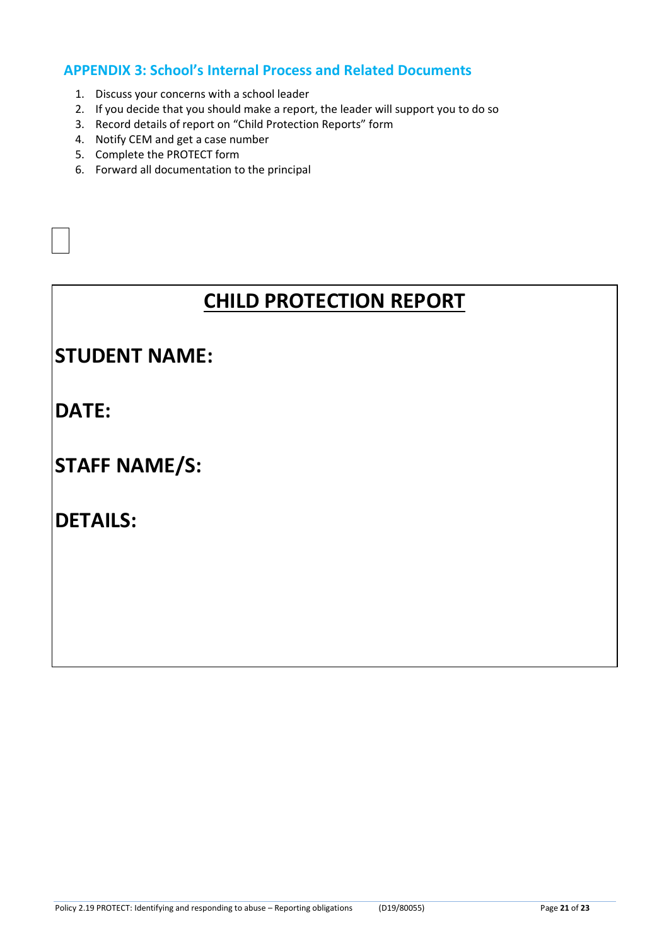# **APPENDIX 3: School's Internal Process and Related Documents**

- 1. Discuss your concerns with a school leader
- 2. If you decide that you should make a report, the leader will support you to do so
- 3. Record details of report on "Child Protection Reports" form
- 4. Notify CEM and get a case number
- 5. Complete the PROTECT form
- 6. Forward all documentation to the principal

# **CHILD PROTECTION REPORT**

# **STUDENT NAME:**

**DATE:**

# **STAFF NAME/S:**

# **DETAILS:**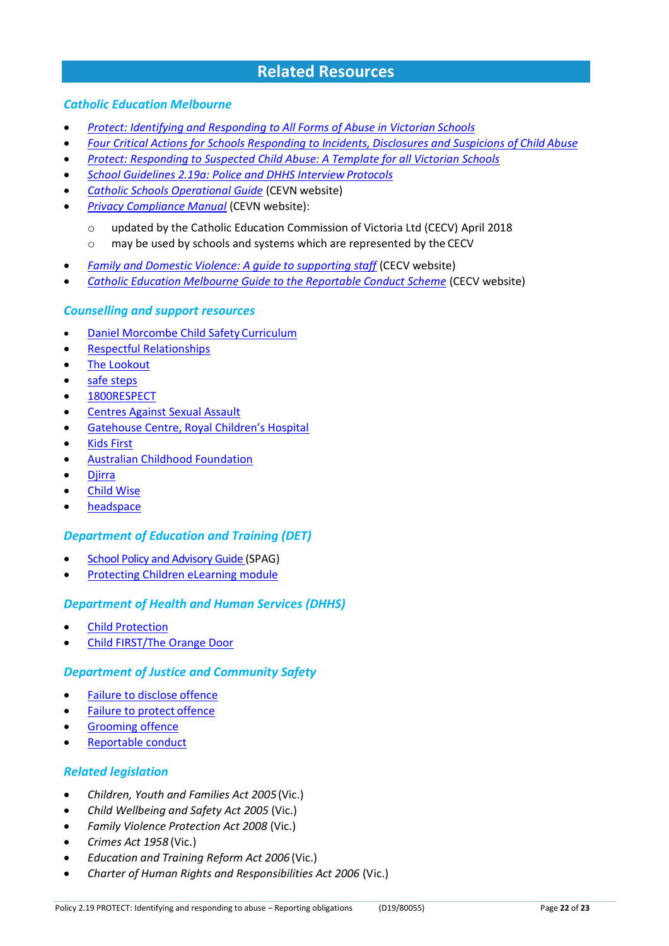# **Related Resources**

#### *Catholic Education Melbourne*

- *[Protect: Identifying and Responding to All Forms of Abuse in Victorian](http://www.education.vic.gov.au/Documents/about/programs/health/protect/ChildSafeStandard5_SchoolsGuide.pdf) Schools*
- *[Four Critical Actions for Schools Responding to Incidents, Disclosures and Suspicions of Child](http://www.education.vic.gov.au/Documents/about/programs/health/protect/FourCriticalActions_ChildAbuse.pdf) Abuse*
- *[Protect: Responding to Suspected Child Abuse: A Template for all Victorian Schools](http://www.education.vic.gov.au/Documents/about/programs/health/protect/PROTECT_Responding_TemplateSchools.pdf)*
- *[School Guidelines 2.19a: Police and DHHS Interview](https://www.cem.edu.au/About-Us/Policies/Police-and-DHHS-Interview-Protocols.aspx) Protocols*
- *[Catholic Schools Operational Guide](https://cevn.cecv.catholic.edu.au/Melb/Document-File/CSOG/Index/Catholic-Schools-Operation-Guide.pdf)* (CEVN website)
- *[Privacy Compliance Manual](https://cevn.cecv.catholic.edu.au/Melb/Document-File/Polices-Compliance-and-Legal/Privacy/Privacy-Compliance-Manual.aspx)* (CEVN website):
	- o updated by the Catholic Education Commission of Victoria Ltd (CECV) April 2018
	- o may be used by schools and systems which are represented by the CECV
- *[Family and Domestic Violence: A guide to supporting staff](http://www.cecv.catholic.edu.au/Media-Files/IR/Policies-Guidelines/Family-Domestic-Violence/Guide-to-family-and-domestic-violence-(1).aspx)* (CECV website)
- *[Catholic Education Melbourne Guide to the Reportable Conduct Scheme](http://www.cecv.catholic.edu.au/Media-Files/IR/Reportable-Conduct/Child-Safety/CEM-Guide-to-the-Reportable-Conduct-Scheme.aspx)* (CECV website)

#### *Counselling and support resources*

- [Daniel Morcombe Child Safety](https://danielmorcombefoundation.com.au/keeping-kids-safe-resources/) Curriculum
- [Respectful Relationships](https://www.education.vic.gov.au/about/programs/Pages/respectfulrelationships.aspx)
- [The Lookout](http://www.thelookout.org.au/)
- [safe steps](http://www.safesteps.org.au/)
- [1800RESPECT](http://www.1800respect.org.au/)
- [Centres Against Sexual Assault](http://www.casa.org.au/)
- [Gatehouse Centre, Royal Children's Hospital](http://www.rch.org.au/gatehouse/)
- [Kids First](https://www.kidsfirstaustralia.org.au/)
- [Australian Childhood Foundation](http://www.childhood.org.au/)
- [Djirra](https://djirra.org.au/)
- **[Child Wise](http://www.childwise.org.au/)**
- [headspace](http://headspace.org.au/)

#### *Department of Education and Training (DET)*

- [School Policy and Advisory Guide \(](http://www.education.vic.gov.au/school/principals/spag/Pages/spag.aspx)SPAG)
- [Protecting Children eLearning module](http://www.elearn.com.au/deecd/mandatoryreporting)

#### *Department of Health and Human Services (DHHS)*

- Child [Protection](https://services.dhhs.vic.gov.au/child-protection)
- [Child FIRST/The Orange Door](https://services.dhhs.vic.gov.au/child-first-and-family-services)

#### *Department of Justice and Community Safety*

- [Failure to disclose](https://www.justice.vic.gov.au/safer-communities/protecting-children-and-families/failure-to-disclose-offence) offence
- [Failure to protect](https://www.justice.vic.gov.au/safer-communities/protecting-children-and-families/failure-to-protect-a-new-criminal-offence-to) offence
- [Grooming offence](https://www.justice.vic.gov.au/safer-communities/protecting-children-and-families/grooming-offence)
- [Reportable conduct](https://www.justice.vic.gov.au/about-the-department/the-department-of-justice-and-community-safety-and-the-reportable-conduct)

#### *Related legislation*

- *Children, Youth and Families Act 2005*(Vic.)
- *Child Wellbeing and Safety Act 2005* (Vic.)
- *Family Violence Protection Act 2008* (Vic.)
- *Crimes Act 1958* (Vic.)
- *Education and Training Reform Act 2006* (Vic.)
- *Charter of Human Rights and Responsibilities Act 2006* (Vic.)